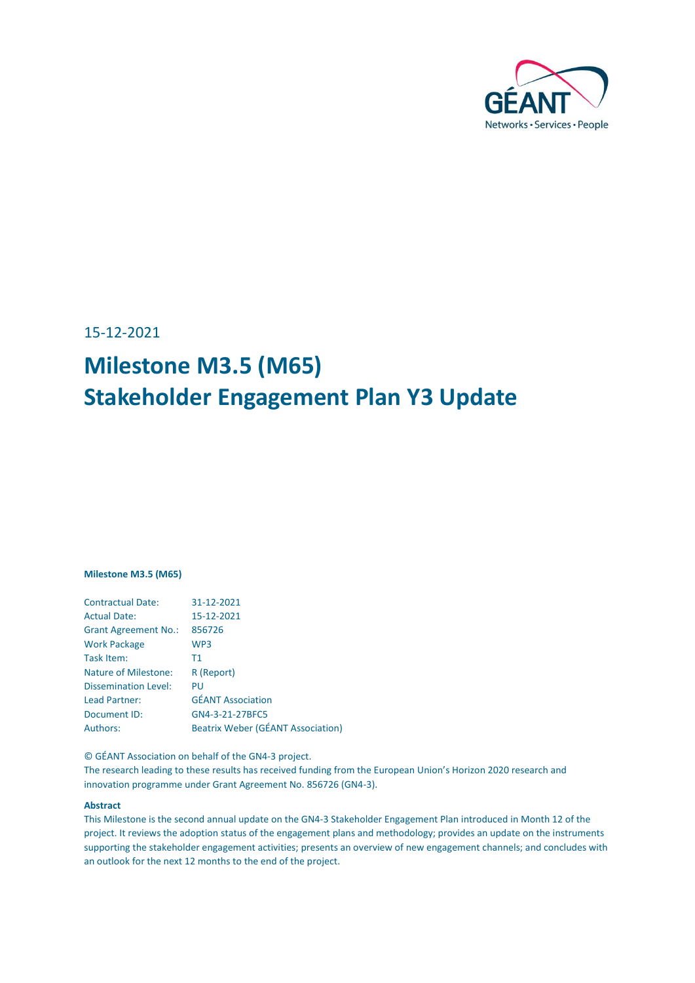

15-12-2021

# **Milestone M3.5 (M65) Stakeholder Engagement Plan Y3 Update**

#### **Milestone M3.5 (M65)**

| <b>Contractual Date:</b>    | 31-12-2021                               |
|-----------------------------|------------------------------------------|
| <b>Actual Date:</b>         | 15-12-2021                               |
| <b>Grant Agreement No.:</b> | 856726                                   |
| <b>Work Package</b>         | WP3                                      |
| Task Item:                  | T1                                       |
| <b>Nature of Milestone:</b> | R (Report)                               |
| <b>Dissemination Level:</b> | PU                                       |
| Lead Partner:               | <b>GÉANT Association</b>                 |
| Document ID:                | GN4-3-21-27BFC5                          |
| <b>Authors:</b>             | <b>Beatrix Weber (GÉANT Association)</b> |

© GÉANT Association on behalf of the GN4-3 project.

The research leading to these results has received funding from the European Union's Horizon 2020 research and innovation programme under Grant Agreement No. 856726 (GN4-3).

#### **Abstract**

This Milestone is the second annual update on the GN4-3 Stakeholder Engagement Plan introduced in Month 12 of the project. It reviews the adoption status of the engagement plans and methodology; provides an update on the instruments supporting the stakeholder engagement activities; presents an overview of new engagement channels; and concludes with an outlook for the next 12 months to the end of the project.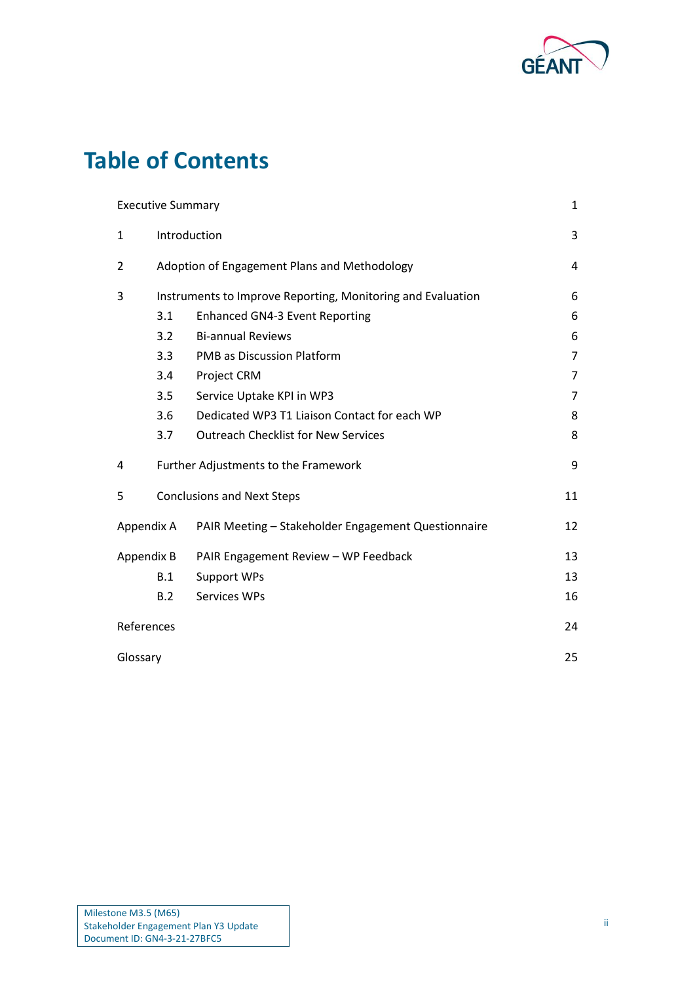

## **Table of Contents**

|                | <b>Executive Summary</b>                     |                                                             | 1              |  |  |  |  |  |
|----------------|----------------------------------------------|-------------------------------------------------------------|----------------|--|--|--|--|--|
| $\mathbf{1}$   |                                              | Introduction                                                |                |  |  |  |  |  |
| $\overline{2}$ | Adoption of Engagement Plans and Methodology |                                                             |                |  |  |  |  |  |
| 3              |                                              | Instruments to Improve Reporting, Monitoring and Evaluation | 6              |  |  |  |  |  |
|                | 3.1                                          | <b>Enhanced GN4-3 Event Reporting</b>                       |                |  |  |  |  |  |
|                | 3.2                                          | 6                                                           |                |  |  |  |  |  |
|                | 3.3                                          | <b>PMB as Discussion Platform</b>                           |                |  |  |  |  |  |
|                | 3.4                                          | Project CRM                                                 | $\overline{7}$ |  |  |  |  |  |
|                | 3.5                                          | Service Uptake KPI in WP3                                   | 7              |  |  |  |  |  |
|                | 3.6                                          | Dedicated WP3 T1 Liaison Contact for each WP                | 8              |  |  |  |  |  |
|                | 3.7                                          | <b>Outreach Checklist for New Services</b>                  | 8              |  |  |  |  |  |
| 4              |                                              | Further Adjustments to the Framework                        | 9              |  |  |  |  |  |
| 5              |                                              | <b>Conclusions and Next Steps</b>                           | 11             |  |  |  |  |  |
| Appendix A     |                                              | PAIR Meeting - Stakeholder Engagement Questionnaire         | 12             |  |  |  |  |  |
| Appendix B     |                                              | PAIR Engagement Review - WP Feedback                        | 13             |  |  |  |  |  |
|                | B.1                                          | <b>Support WPs</b>                                          | 13             |  |  |  |  |  |
|                | B.2                                          | Services WPs                                                | 16             |  |  |  |  |  |
| References     |                                              |                                                             | 24             |  |  |  |  |  |
| Glossary       |                                              |                                                             | 25             |  |  |  |  |  |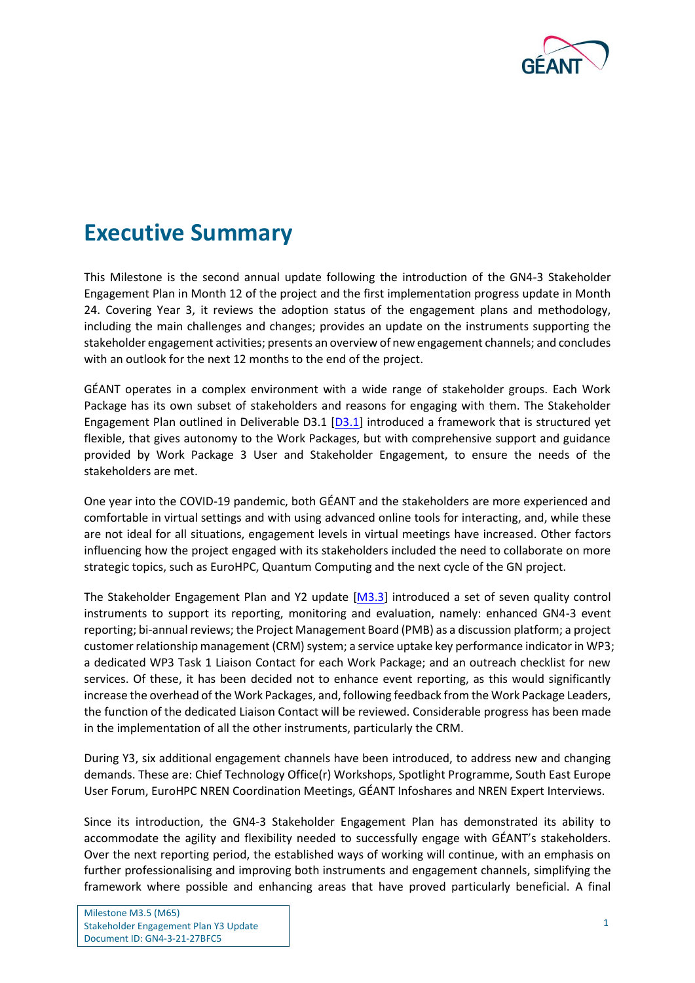

### <span id="page-2-0"></span>**Executive Summary**

This Milestone is the second annual update following the introduction of the GN4-3 Stakeholder Engagement Plan in Month 12 of the project and the first implementation progress update in Month 24. Covering Year 3, it reviews the adoption status of the engagement plans and methodology, including the main challenges and changes; provides an update on the instruments supporting the stakeholder engagement activities; presents an overview of new engagement channels; and concludes with an outlook for the next 12 months to the end of the project.

GÉANT operates in a complex environment with a wide range of stakeholder groups. Each Work Package has its own subset of stakeholders and reasons for engaging with them. The Stakeholder Engagement Plan outlined in Deliverable D3.1 [\[D3.1\]](#page-25-1) introduced a framework that is structured yet flexible, that gives autonomy to the Work Packages, but with comprehensive support and guidance provided by Work Package 3 User and Stakeholder Engagement, to ensure the needs of the stakeholders are met.

One year into the COVID-19 pandemic, both GÉANT and the stakeholders are more experienced and comfortable in virtual settings and with using advanced online tools for interacting, and, while these are not ideal for all situations, engagement levels in virtual meetings have increased. Other factors influencing how the project engaged with its stakeholders included the need to collaborate on more strategic topics, such as EuroHPC, Quantum Computing and the next cycle of the GN project.

The Stakeholder Engagement Plan and Y2 update [\[M3.3\]](#page-25-2) introduced a set of seven quality control instruments to support its reporting, monitoring and evaluation, namely: enhanced GN4-3 event reporting; bi-annual reviews; the Project Management Board (PMB) as a discussion platform; a project customer relationship management (CRM) system; a service uptake key performance indicator in WP3; a dedicated WP3 Task 1 Liaison Contact for each Work Package; and an outreach checklist for new services. Of these, it has been decided not to enhance event reporting, as this would significantly increase the overhead of the Work Packages, and, following feedback from the Work Package Leaders, the function of the dedicated Liaison Contact will be reviewed. Considerable progress has been made in the implementation of all the other instruments, particularly the CRM.

During Y3, six additional engagement channels have been introduced, to address new and changing demands. These are: Chief Technology Office(r) Workshops, Spotlight Programme, South East Europe User Forum, EuroHPC NREN Coordination Meetings, GÉANT Infoshares and NREN Expert Interviews.

Since its introduction, the GN4-3 Stakeholder Engagement Plan has demonstrated its ability to accommodate the agility and flexibility needed to successfully engage with GÉANT's stakeholders. Over the next reporting period, the established ways of working will continue, with an emphasis on further professionalising and improving both instruments and engagement channels, simplifying the framework where possible and enhancing areas that have proved particularly beneficial. A final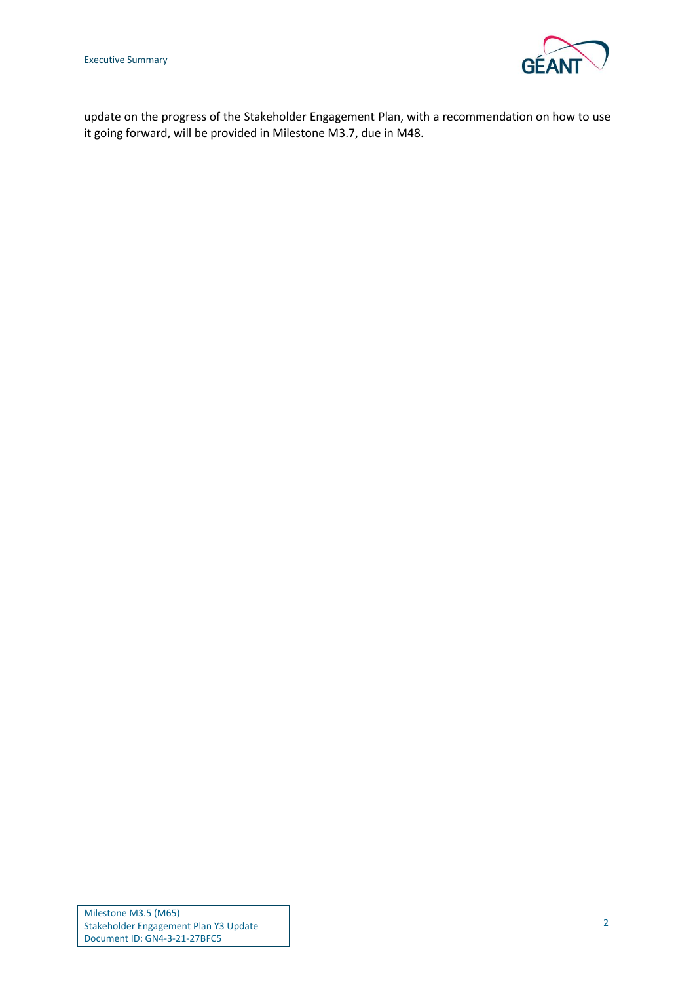Executive Summary



update on the progress of the Stakeholder Engagement Plan, with a recommendation on how to use it going forward, will be provided in Milestone M3.7, due in M48.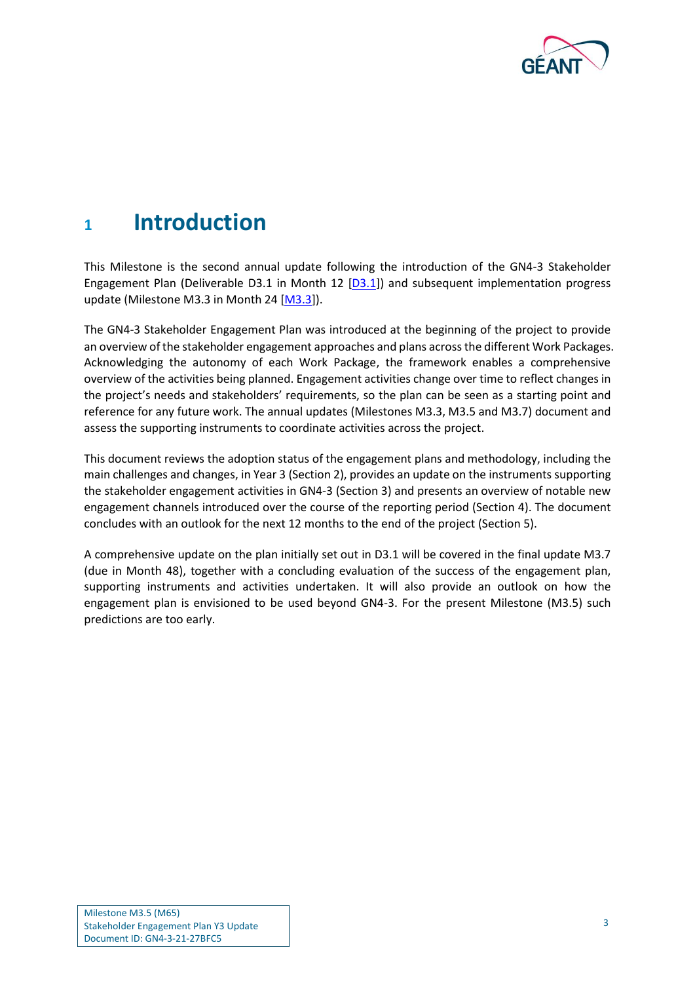

### <span id="page-4-0"></span>**<sup>1</sup> Introduction**

This Milestone is the second annual update following the introduction of the GN4-3 Stakeholder Engagement Plan (Deliverable D3.1 in Month 12  $[D3.1]$ ) and subsequent implementation progress update (Milestone M3.3 in Month 24 [\[M3.3\]](#page-25-2)).

The GN4-3 Stakeholder Engagement Plan was introduced at the beginning of the project to provide an overview of the stakeholder engagement approaches and plans across the different Work Packages. Acknowledging the autonomy of each Work Package, the framework enables a comprehensive overview of the activities being planned. Engagement activities change over time to reflect changes in the project's needs and stakeholders' requirements, so the plan can be seen as a starting point and reference for any future work. The annual updates (Milestones M3.3, M3.5 and M3.7) document and assess the supporting instruments to coordinate activities across the project.

This document reviews the adoption status of the engagement plans and methodology, including the main challenges and changes, in Year 3 (Sectio[n 2\)](#page-5-0), provides an update on the instruments supporting the stakeholder engagement activities in GN4-3 (Sectio[n 3\)](#page-7-0) and presents an overview of notable new engagement channels introduced over the course of the reporting period (Sectio[n 4\)](#page-10-0). The document concludes with an outlook for the next 12 months to the end of the project (Sectio[n 5\)](#page-12-0).

A comprehensive update on the plan initially set out in D3.1 will be covered in the final update M3.7 (due in Month 48), together with a concluding evaluation of the success of the engagement plan, supporting instruments and activities undertaken. It will also provide an outlook on how the engagement plan is envisioned to be used beyond GN4-3. For the present Milestone (M3.5) such predictions are too early.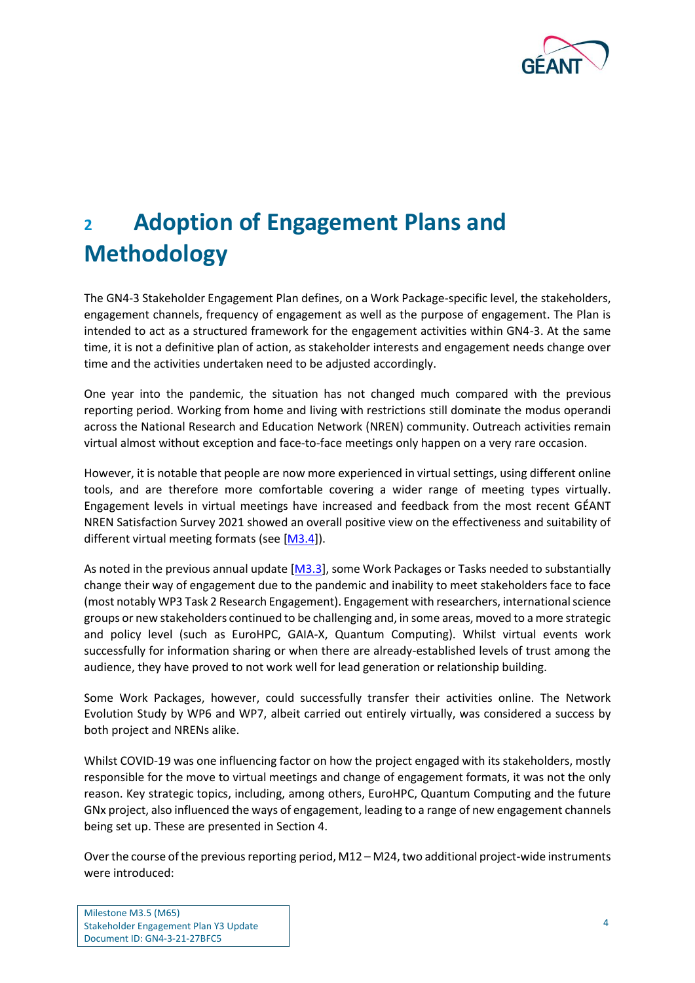

# <span id="page-5-0"></span>**<sup>2</sup> Adoption of Engagement Plans and Methodology**

The GN4-3 Stakeholder Engagement Plan defines, on a Work Package-specific level, the stakeholders, engagement channels, frequency of engagement as well as the purpose of engagement. The Plan is intended to act as a structured framework for the engagement activities within GN4-3. At the same time, it is not a definitive plan of action, as stakeholder interests and engagement needs change over time and the activities undertaken need to be adjusted accordingly.

One year into the pandemic, the situation has not changed much compared with the previous reporting period. Working from home and living with restrictions still dominate the modus operandi across the National Research and Education Network (NREN) community. Outreach activities remain virtual almost without exception and face-to-face meetings only happen on a very rare occasion.

However, it is notable that people are now more experienced in virtual settings, using different online tools, and are therefore more comfortable covering a wider range of meeting types virtually. Engagement levels in virtual meetings have increased and feedback from the most recent GÉANT NREN Satisfaction Survey 2021 showed an overall positive view on the effectiveness and suitability of different virtual meeting formats (see [\[M3.4\]](#page-25-3)).

As noted in the previous annual update [\[M3.3\]](#page-25-2), some Work Packages or Tasks needed to substantially change their way of engagement due to the pandemic and inability to meet stakeholders face to face (most notably WP3 Task 2 Research Engagement). Engagement with researchers, international science groups or new stakeholders continued to be challenging and, in some areas, moved to a more strategic and policy level (such as EuroHPC, GAIA-X, Quantum Computing). Whilst virtual events work successfully for information sharing or when there are already-established levels of trust among the audience, they have proved to not work well for lead generation or relationship building.

Some Work Packages, however, could successfully transfer their activities online. The Network Evolution Study by WP6 and WP7, albeit carried out entirely virtually, was considered a success by both project and NRENs alike.

Whilst COVID-19 was one influencing factor on how the project engaged with its stakeholders, mostly responsible for the move to virtual meetings and change of engagement formats, it was not the only reason. Key strategic topics, including, among others, EuroHPC, Quantum Computing and the future GNx project, also influenced the ways of engagement, leading to a range of new engagement channels being set up. These are presented in Section [4.](#page-10-0)

Over the course of the previous reporting period,  $M12 - M24$ , two additional project-wide instruments were introduced: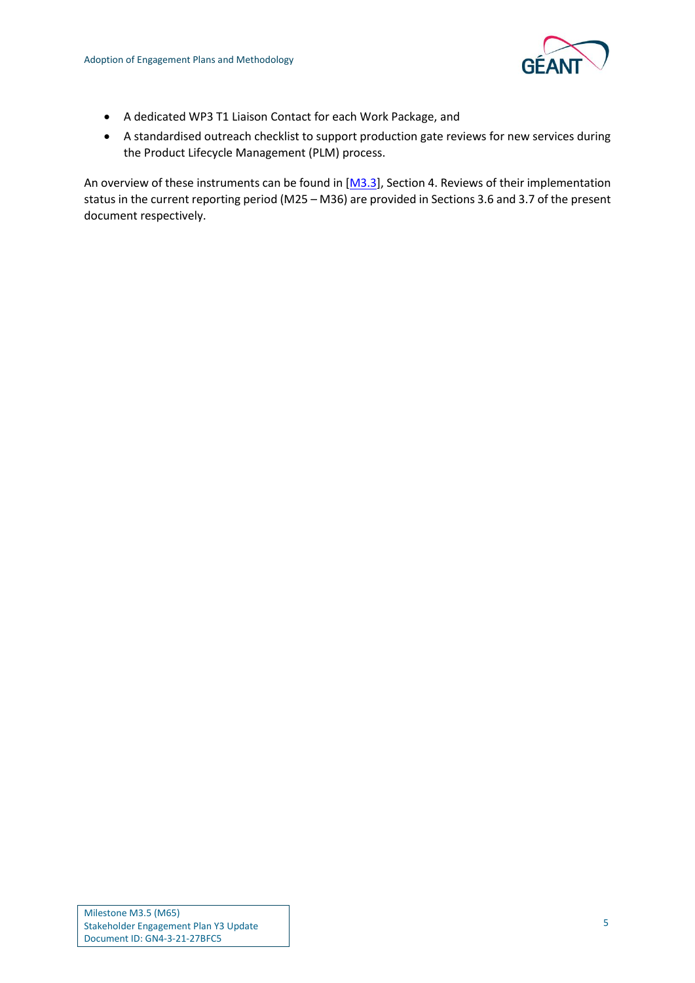

- A dedicated WP3 T1 Liaison Contact for each Work Package, and
- A standardised outreach checklist to support production gate reviews for new services during the Product Lifecycle Management (PLM) process.

An overview of these instruments can be found in [\[M3.3\]](#page-25-2), Section 4. Reviews of their implementation status in the current reporting period (M25 – M36) are provided in Sections [3.6](#page-9-0) an[d 3.7](#page-9-1) of the present document respectively.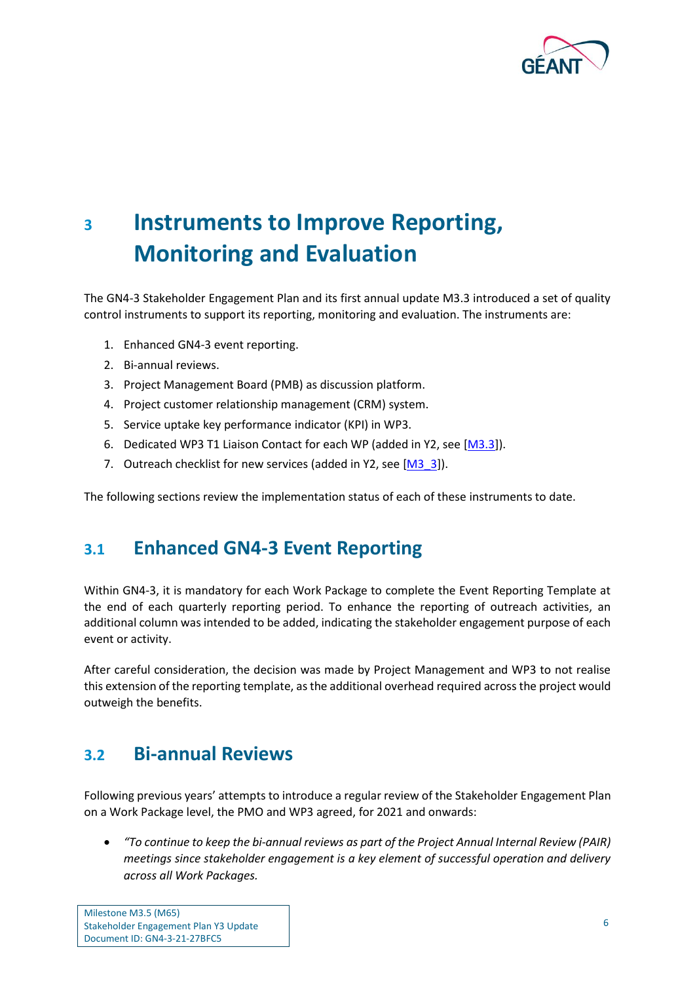

## <span id="page-7-0"></span>**<sup>3</sup> Instruments to Improve Reporting, Monitoring and Evaluation**

The GN4-3 Stakeholder Engagement Plan and its first annual update M3.3 introduced a set of quality control instruments to support its reporting, monitoring and evaluation. The instruments are:

- 1. Enhanced GN4-3 event reporting.
- 2. Bi-annual reviews.
- 3. Project Management Board (PMB) as discussion platform.
- 4. Project customer relationship management (CRM) system.
- 5. Service uptake key performance indicator (KPI) in WP3.
- 6. Dedicated WP3 T1 Liaison Contact for each WP (added in Y2, see [\[M3.3\]](#page-25-2)).
- 7. Outreach checklist for new services (added in Y2, see [\[M3\\_3\]](#page-25-2)).

The following sections review the implementation status of each of these instruments to date.

#### <span id="page-7-1"></span>**3.1 Enhanced GN4-3 Event Reporting**

Within GN4-3, it is mandatory for each Work Package to complete the Event Reporting Template at the end of each quarterly reporting period. To enhance the reporting of outreach activities, an additional column was intended to be added, indicating the stakeholder engagement purpose of each event or activity.

After careful consideration, the decision was made by Project Management and WP3 to not realise this extension of the reporting template, as the additional overhead required across the project would outweigh the benefits.

### <span id="page-7-2"></span>**3.2 Bi-annual Reviews**

Following previous years' attempts to introduce a regular review of the Stakeholder Engagement Plan on a Work Package level, the PMO and WP3 agreed, for 2021 and onwards:

• *"To continue to keep the bi-annual reviews as part of the Project Annual Internal Review (PAIR) meetings since stakeholder engagement is a key element of successful operation and delivery across all Work Packages.*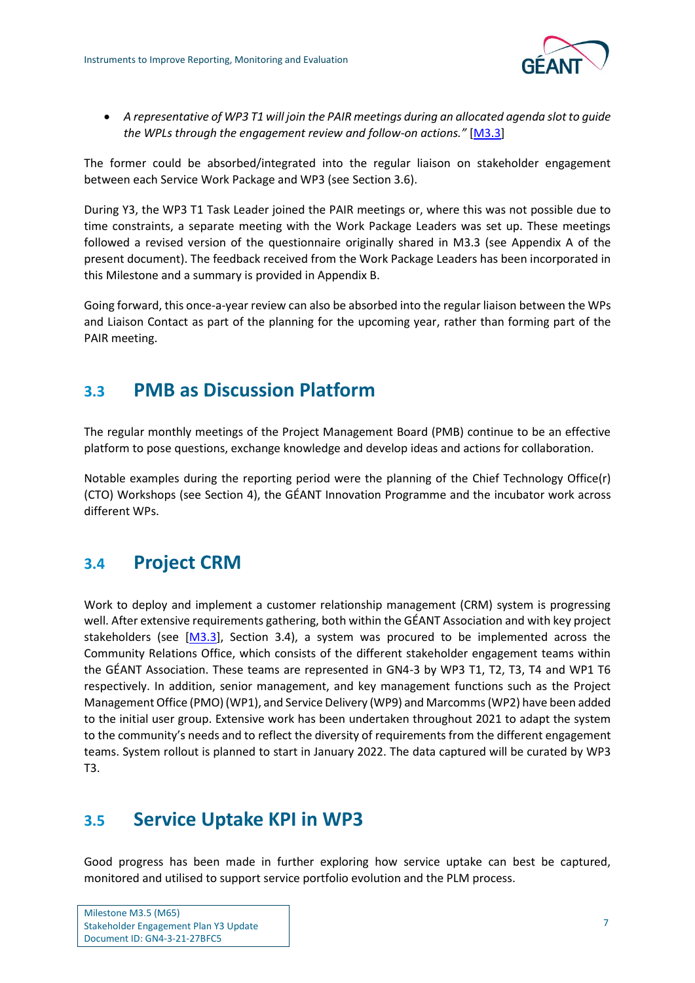

• *A representative of WP3 T1 will join the PAIR meetings during an allocated agenda slot to guide the WPLs through the engagement review and follow-on actions."* [\[M3.3\]](#page-25-2)

The former could be absorbed/integrated into the regular liaison on stakeholder engagement between each Service Work Package and WP3 (see Sectio[n 3.6\)](#page-9-0).

During Y3, the WP3 T1 Task Leader joined the PAIR meetings or, where this was not possible due to time constraints, a separate meeting with the Work Package Leaders was set up. These meetings followed a revised version of the questionnaire originally shared in M3.3 (see [Appendix A](#page-13-0) of the present document). The feedback received from the Work Package Leaders has been incorporated in this Milestone and a summary is provided in [Appendix B.](#page-14-0)

Going forward, this once-a-year review can also be absorbed into the regular liaison between the WPs and Liaison Contact as part of the planning for the upcoming year, rather than forming part of the PAIR meeting.

### <span id="page-8-0"></span>**3.3 PMB as Discussion Platform**

The regular monthly meetings of the Project Management Board (PMB) continue to be an effective platform to pose questions, exchange knowledge and develop ideas and actions for collaboration.

Notable examples during the reporting period were the planning of the Chief Technology Office(r) (CTO) Workshops (see Section [4\)](#page-10-0), the GÉANT Innovation Programme and the incubator work across different WPs.

### <span id="page-8-1"></span>**3.4 Project CRM**

Work to deploy and implement a customer relationship management (CRM) system is progressing well. After extensive requirements gathering, both within the GÉANT Association and with key project stakeholders (see  $[M3.3]$ , Section 3.4), a system was procured to be implemented across the Community Relations Office, which consists of the different stakeholder engagement teams within the GÉANT Association. These teams are represented in GN4-3 by WP3 T1, T2, T3, T4 and WP1 T6 respectively. In addition, senior management, and key management functions such as the Project Management Office (PMO) (WP1), and Service Delivery (WP9) and Marcomms (WP2) have been added to the initial user group. Extensive work has been undertaken throughout 2021 to adapt the system to the community's needs and to reflect the diversity of requirements from the different engagement teams. System rollout is planned to start in January 2022. The data captured will be curated by WP3 T3.

### <span id="page-8-2"></span>**3.5 Service Uptake KPI in WP3**

Good progress has been made in further exploring how service uptake can best be captured, monitored and utilised to support service portfolio evolution and the PLM process.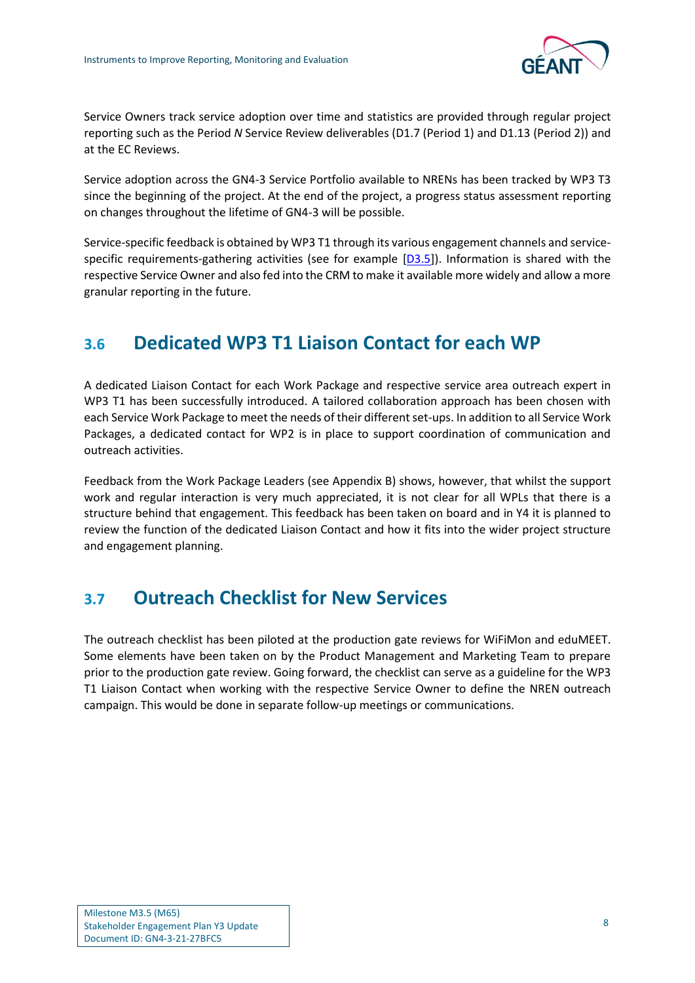

Service Owners track service adoption over time and statistics are provided through regular project reporting such as the Period *N* Service Review deliverables (D1.7 (Period 1) and D1.13 (Period 2)) and at the EC Reviews.

Service adoption across the GN4-3 Service Portfolio available to NRENs has been tracked by WP3 T3 since the beginning of the project. At the end of the project, a progress status assessment reporting on changes throughout the lifetime of GN4-3 will be possible.

Service-specific feedback is obtained by WP3 T1 through its various engagement channels and servicespecific requirements-gathering activities (see for example  $[D3.5]$ ). Information is shared with the respective Service Owner and also fed into the CRM to make it available more widely and allow a more granular reporting in the future.

### <span id="page-9-0"></span>**3.6 Dedicated WP3 T1 Liaison Contact for each WP**

A dedicated Liaison Contact for each Work Package and respective service area outreach expert in WP3 T1 has been successfully introduced. A tailored collaboration approach has been chosen with each Service Work Package to meet the needs of their different set-ups. In addition to all Service Work Packages, a dedicated contact for WP2 is in place to support coordination of communication and outreach activities.

Feedback from the Work Package Leaders (se[e Appendix B\)](#page-14-0) shows, however, that whilst the support work and regular interaction is very much appreciated, it is not clear for all WPLs that there is a structure behind that engagement. This feedback has been taken on board and in Y4 it is planned to review the function of the dedicated Liaison Contact and how it fits into the wider project structure and engagement planning.

### <span id="page-9-1"></span>**3.7 Outreach Checklist for New Services**

The outreach checklist has been piloted at the production gate reviews for WiFiMon and eduMEET. Some elements have been taken on by the Product Management and Marketing Team to prepare prior to the production gate review. Going forward, the checklist can serve as a guideline for the WP3 T1 Liaison Contact when working with the respective Service Owner to define the NREN outreach campaign. This would be done in separate follow-up meetings or communications.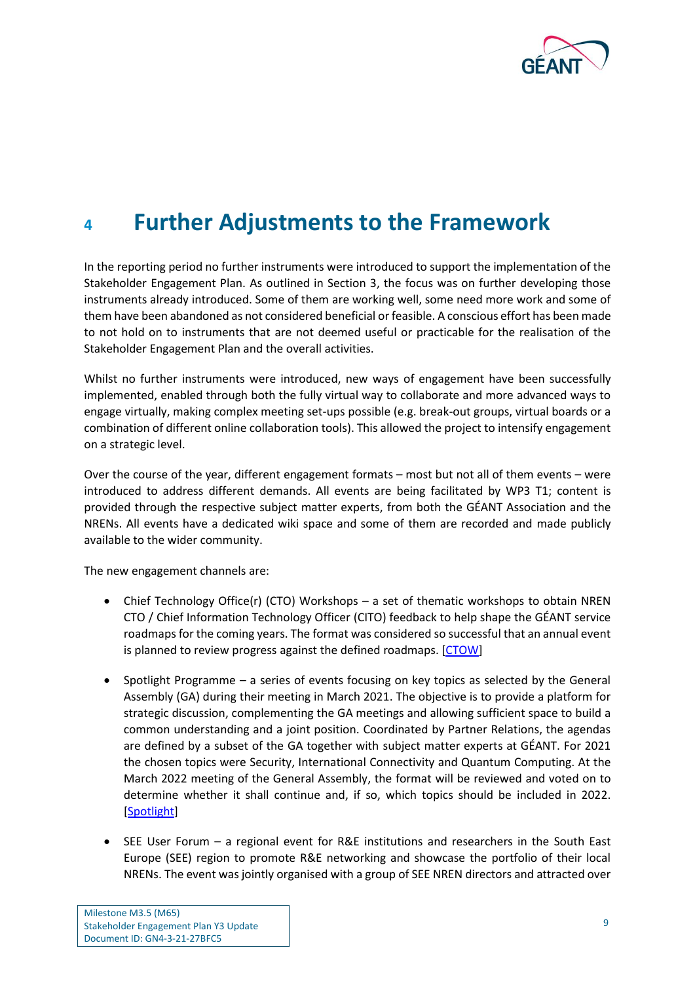

### <span id="page-10-0"></span>**<sup>4</sup> Further Adjustments to the Framework**

In the reporting period no further instruments were introduced to support the implementation of the Stakeholder Engagement Plan. As outlined in Section [3,](#page-7-0) the focus was on further developing those instruments already introduced. Some of them are working well, some need more work and some of them have been abandoned as not considered beneficial or feasible. A conscious effort has been made to not hold on to instruments that are not deemed useful or practicable for the realisation of the Stakeholder Engagement Plan and the overall activities.

Whilst no further instruments were introduced, new ways of engagement have been successfully implemented, enabled through both the fully virtual way to collaborate and more advanced ways to engage virtually, making complex meeting set-ups possible (e.g. break-out groups, virtual boards or a combination of different online collaboration tools). This allowed the project to intensify engagement on a strategic level.

Over the course of the year, different engagement formats – most but not all of them events – were introduced to address different demands. All events are being facilitated by WP3 T1; content is provided through the respective subject matter experts, from both the GÉANT Association and the NRENs. All events have a dedicated wiki space and some of them are recorded and made publicly available to the wider community.

The new engagement channels are:

- Chief Technology Office(r) (CTO) Workshops a set of thematic workshops to obtain NREN CTO / Chief Information Technology Officer (CITO) feedback to help shape the GÉANT service roadmaps for the coming years. The format was considered so successful that an annual event is planned to review progress against the defined roadmaps. [\[CTOW\]](#page-25-5)
- Spotlight Programme a series of events focusing on key topics as selected by the General Assembly (GA) during their meeting in March 2021. The objective is to provide a platform for strategic discussion, complementing the GA meetings and allowing sufficient space to build a common understanding and a joint position. Coordinated by Partner Relations, the agendas are defined by a subset of the GA together with subject matter experts at GÉANT. For 2021 the chosen topics were Security, International Connectivity and Quantum Computing. At the March 2022 meeting of the General Assembly, the format will be reviewed and voted on to determine whether it shall continue and, if so, which topics should be included in 2022. [\[Spotlight\]](#page-25-6)
- SEE User Forum a regional event for R&E institutions and researchers in the South East Europe (SEE) region to promote R&E networking and showcase the portfolio of their local NRENs. The event was jointly organised with a group of SEE NREN directors and attracted over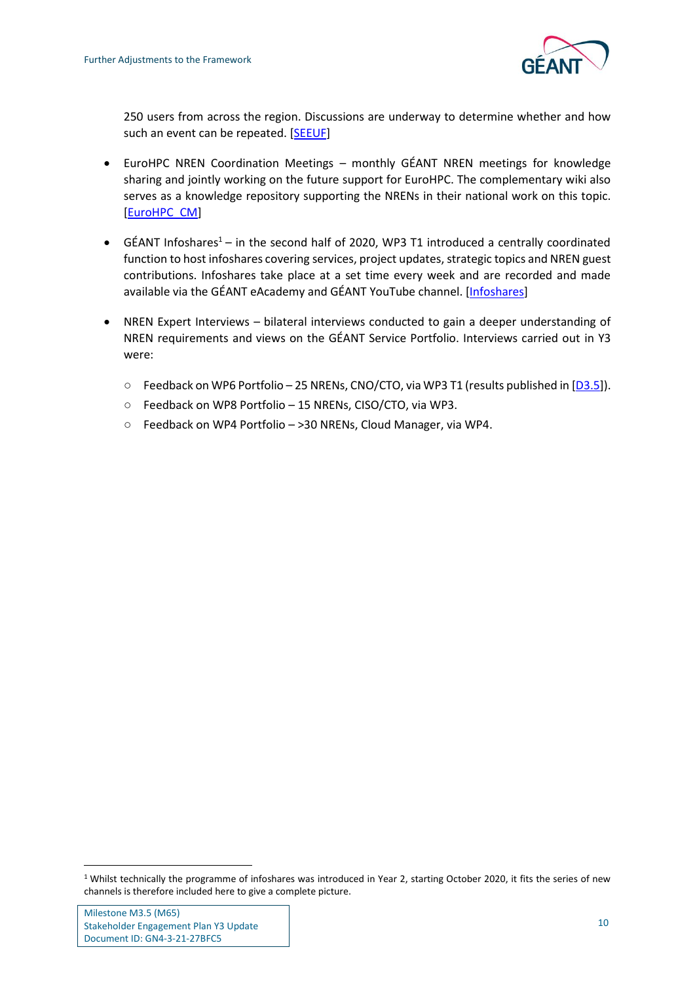

250 users from across the region. Discussions are underway to determine whether and how such an event can be repeated. [\[SEEUF\]](#page-25-7)

- EuroHPC NREN Coordination Meetings monthly GÉANT NREN meetings for knowledge sharing and jointly working on the future support for EuroHPC. The complementary wiki also serves as a knowledge repository supporting the NRENs in their national work on this topic. [\[EuroHPC\\_CM\]](#page-25-8)
- GÉANT Infoshares<sup>1</sup> in the second half of 2020, WP3 T1 introduced a centrally coordinated function to host infoshares covering services, project updates, strategic topics and NREN guest contributions. Infoshares take place at a set time every week and are recorded and made available via the GÉANT eAcademy and GÉANT YouTube channel. [\[Infoshares\]](#page-25-9)
- NREN Expert Interviews bilateral interviews conducted to gain a deeper understanding of NREN requirements and views on the GÉANT Service Portfolio. Interviews carried out in Y3 were:
	- Feedback on WP6 Portfolio 25 NRENs, CNO/CTO, via WP3 T1 (results published in [\[D3.5\]](#page-25-4)).
	- Feedback on WP8 Portfolio 15 NRENs, CISO/CTO, via WP3.
	- Feedback on WP4 Portfolio >30 NRENs, Cloud Manager, via WP4.

<sup>&</sup>lt;sup>1</sup> Whilst technically the programme of infoshares was introduced in Year 2, starting October 2020, it fits the series of new channels is therefore included here to give a complete picture.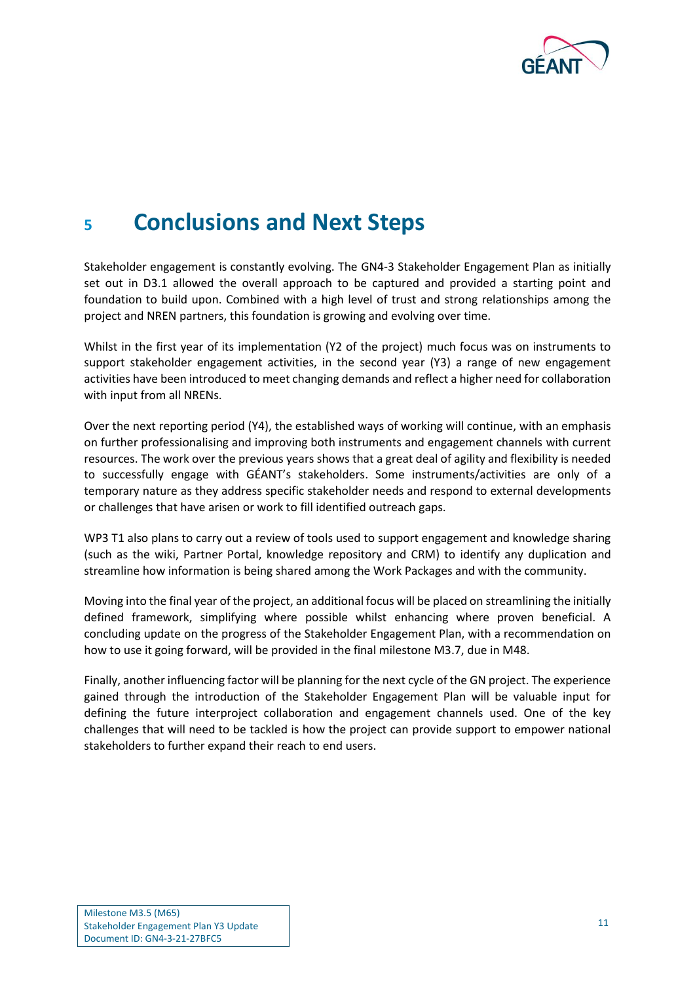

### <span id="page-12-0"></span>**<sup>5</sup> Conclusions and Next Steps**

Stakeholder engagement is constantly evolving. The GN4-3 Stakeholder Engagement Plan as initially set out in D3.1 allowed the overall approach to be captured and provided a starting point and foundation to build upon. Combined with a high level of trust and strong relationships among the project and NREN partners, this foundation is growing and evolving over time.

Whilst in the first year of its implementation (Y2 of the project) much focus was on instruments to support stakeholder engagement activities, in the second year (Y3) a range of new engagement activities have been introduced to meet changing demands and reflect a higher need for collaboration with input from all NRENs.

Over the next reporting period (Y4), the established ways of working will continue, with an emphasis on further professionalising and improving both instruments and engagement channels with current resources. The work over the previous years shows that a great deal of agility and flexibility is needed to successfully engage with GÉANT's stakeholders. Some instruments/activities are only of a temporary nature as they address specific stakeholder needs and respond to external developments or challenges that have arisen or work to fill identified outreach gaps.

WP3 T1 also plans to carry out a review of tools used to support engagement and knowledge sharing (such as the wiki, Partner Portal, knowledge repository and CRM) to identify any duplication and streamline how information is being shared among the Work Packages and with the community.

Moving into the final year of the project, an additional focus will be placed on streamlining the initially defined framework, simplifying where possible whilst enhancing where proven beneficial. A concluding update on the progress of the Stakeholder Engagement Plan, with a recommendation on how to use it going forward, will be provided in the final milestone M3.7, due in M48.

Finally, another influencing factor will be planning for the next cycle of the GN project. The experience gained through the introduction of the Stakeholder Engagement Plan will be valuable input for defining the future interproject collaboration and engagement channels used. One of the key challenges that will need to be tackled is how the project can provide support to empower national stakeholders to further expand their reach to end users.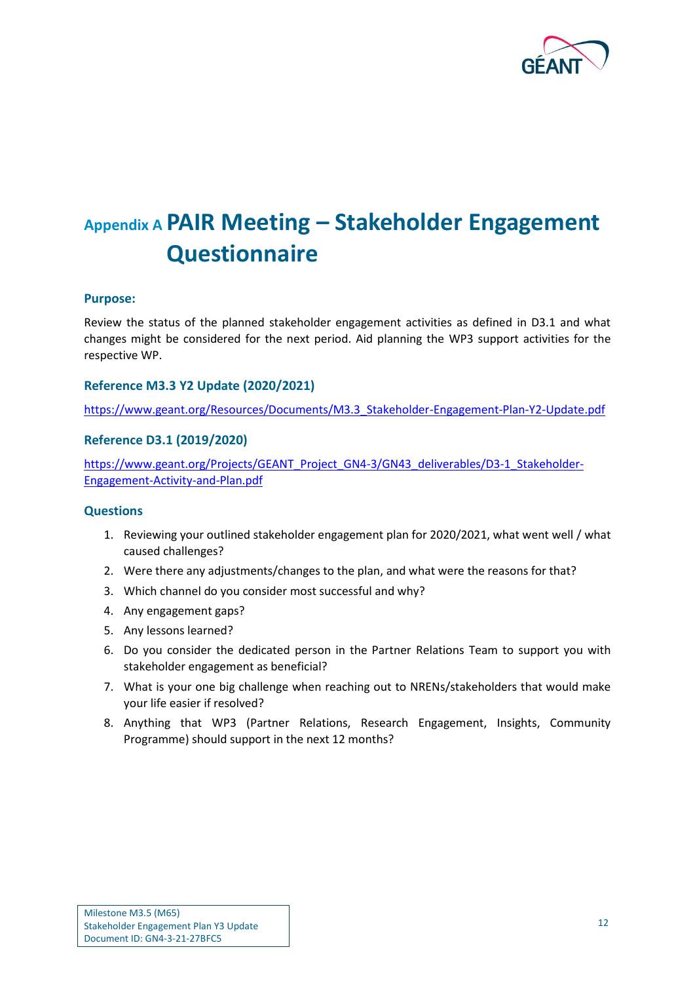

## <span id="page-13-0"></span>**Appendix A PAIR Meeting – Stakeholder Engagement Questionnaire**

#### **Purpose:**

Review the status of the planned stakeholder engagement activities as defined in D3.1 and what changes might be considered for the next period. Aid planning the WP3 support activities for the respective WP.

#### **Reference M3.3 Y2 Update (2020/2021)**

[https://www.geant.org/Resources/Documents/M3.3\\_Stakeholder-Engagement-Plan-Y2-Update.pdf](https://www.geant.org/Resources/Documents/M3.3_Stakeholder-Engagement-Plan-Y2-Update.pdf)

#### **Reference D3.1 (2019/2020)**

[https://www.geant.org/Projects/GEANT\\_Project\\_GN4-3/GN43\\_deliverables/D3-1\\_Stakeholder-](https://www.geant.org/Projects/GEANT_Project_GN4-3/GN43_deliverables/D3-1_Stakeholder-Engagement-Activity-and-Plan.pdf)[Engagement-Activity-and-Plan.pdf](https://www.geant.org/Projects/GEANT_Project_GN4-3/GN43_deliverables/D3-1_Stakeholder-Engagement-Activity-and-Plan.pdf)

#### **Questions**

- 1. Reviewing your outlined stakeholder engagement plan for 2020/2021, what went well / what caused challenges?
- 2. Were there any adjustments/changes to the plan, and what were the reasons for that?
- 3. Which channel do you consider most successful and why?
- 4. Any engagement gaps?
- 5. Any lessons learned?
- 6. Do you consider the dedicated person in the Partner Relations Team to support you with stakeholder engagement as beneficial?
- 7. What is your one big challenge when reaching out to NRENs/stakeholders that would make your life easier if resolved?
- 8. Anything that WP3 (Partner Relations, Research Engagement, Insights, Community Programme) should support in the next 12 months?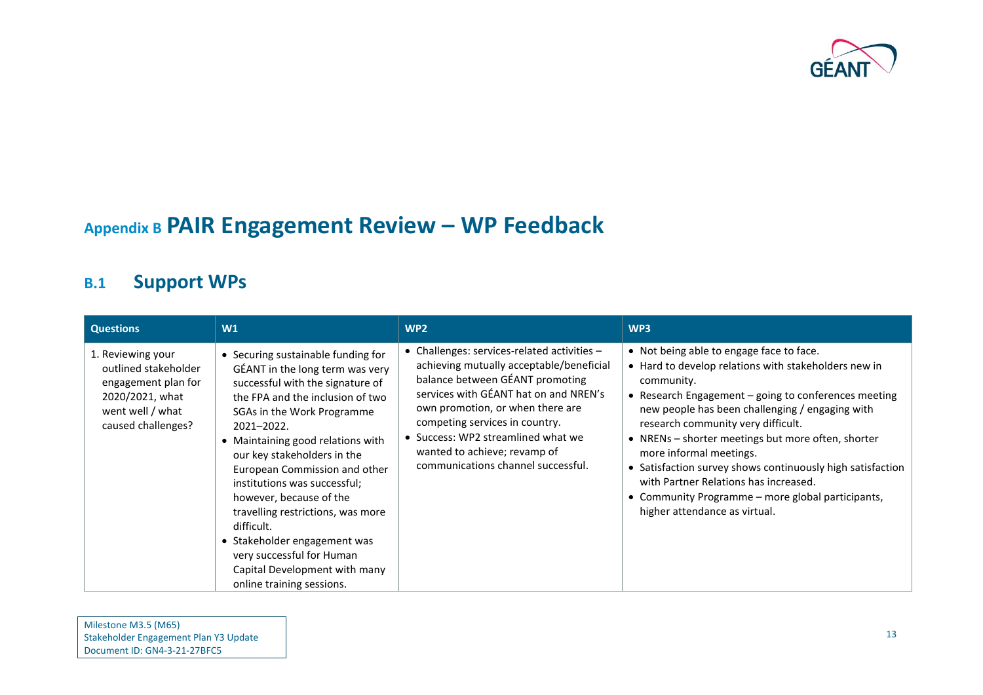

## **Appendix B PAIR Engagement Review – WP Feedback**

### **B.1 Support WPs**

<span id="page-14-1"></span><span id="page-14-0"></span>

| <b>Questions</b>                                                                                                              | W1                                                                                                                                                                                                                                                                                                                                                                                                                                                                                                                                      | WP <sub>2</sub>                                                                                                                                                                                                                                                                                                                                       | WP3                                                                                                                                                                                                                                                                                                                                                                                                                                                                                                                                           |
|-------------------------------------------------------------------------------------------------------------------------------|-----------------------------------------------------------------------------------------------------------------------------------------------------------------------------------------------------------------------------------------------------------------------------------------------------------------------------------------------------------------------------------------------------------------------------------------------------------------------------------------------------------------------------------------|-------------------------------------------------------------------------------------------------------------------------------------------------------------------------------------------------------------------------------------------------------------------------------------------------------------------------------------------------------|-----------------------------------------------------------------------------------------------------------------------------------------------------------------------------------------------------------------------------------------------------------------------------------------------------------------------------------------------------------------------------------------------------------------------------------------------------------------------------------------------------------------------------------------------|
| 1. Reviewing your<br>outlined stakeholder<br>engagement plan for<br>2020/2021, what<br>went well / what<br>caused challenges? | • Securing sustainable funding for<br>GÉANT in the long term was very<br>successful with the signature of<br>the FPA and the inclusion of two<br>SGAs in the Work Programme<br>2021-2022.<br>• Maintaining good relations with<br>our key stakeholders in the<br>European Commission and other<br>institutions was successful;<br>however, because of the<br>travelling restrictions, was more<br>difficult.<br>• Stakeholder engagement was<br>very successful for Human<br>Capital Development with many<br>online training sessions. | • Challenges: services-related activities -<br>achieving mutually acceptable/beneficial<br>balance between GÉANT promoting<br>services with GÉANT hat on and NREN's<br>own promotion, or when there are<br>competing services in country.<br>• Success: WP2 streamlined what we<br>wanted to achieve; revamp of<br>communications channel successful. | • Not being able to engage face to face.<br>• Hard to develop relations with stakeholders new in<br>community.<br>• Research Engagement - going to conferences meeting<br>new people has been challenging / engaging with<br>research community very difficult.<br>• NRENs - shorter meetings but more often, shorter<br>more informal meetings.<br>• Satisfaction survey shows continuously high satisfaction<br>with Partner Relations has increased.<br>• Community Programme - more global participants,<br>higher attendance as virtual. |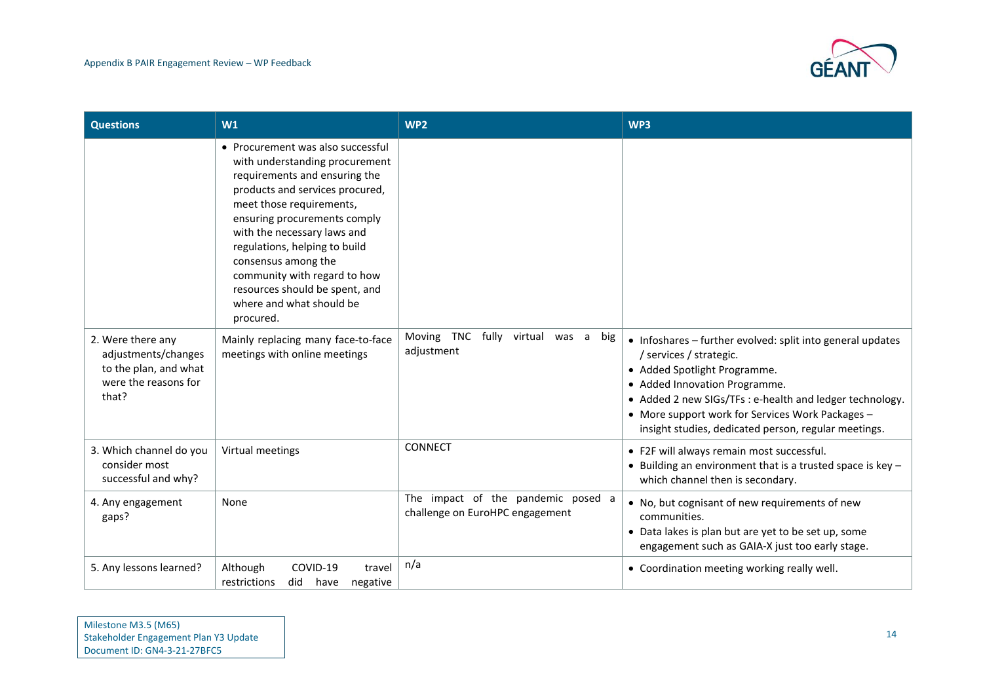

| <b>Questions</b>                                                                                   | W1                                                                                                                                                                                                                                                                                                                                                                                                    | WP <sub>2</sub>                                                       | WP3                                                                                                                                                                                                                                                                                                                            |
|----------------------------------------------------------------------------------------------------|-------------------------------------------------------------------------------------------------------------------------------------------------------------------------------------------------------------------------------------------------------------------------------------------------------------------------------------------------------------------------------------------------------|-----------------------------------------------------------------------|--------------------------------------------------------------------------------------------------------------------------------------------------------------------------------------------------------------------------------------------------------------------------------------------------------------------------------|
|                                                                                                    | • Procurement was also successful<br>with understanding procurement<br>requirements and ensuring the<br>products and services procured,<br>meet those requirements,<br>ensuring procurements comply<br>with the necessary laws and<br>regulations, helping to build<br>consensus among the<br>community with regard to how<br>resources should be spent, and<br>where and what should be<br>procured. |                                                                       |                                                                                                                                                                                                                                                                                                                                |
| 2. Were there any<br>adjustments/changes<br>to the plan, and what<br>were the reasons for<br>that? | Mainly replacing many face-to-face<br>meetings with online meetings                                                                                                                                                                                                                                                                                                                                   | Moving TNC fully virtual was a<br>big<br>adjustment                   | • Infoshares - further evolved: split into general updates<br>/ services / strategic.<br>• Added Spotlight Programme.<br>• Added Innovation Programme.<br>• Added 2 new SIGs/TFs : e-health and ledger technology.<br>• More support work for Services Work Packages -<br>insight studies, dedicated person, regular meetings. |
| 3. Which channel do you<br>consider most<br>successful and why?                                    | Virtual meetings                                                                                                                                                                                                                                                                                                                                                                                      | <b>CONNECT</b>                                                        | • F2F will always remain most successful.<br>• Building an environment that is a trusted space is key $-$<br>which channel then is secondary.                                                                                                                                                                                  |
| 4. Any engagement<br>gaps?                                                                         | None                                                                                                                                                                                                                                                                                                                                                                                                  | The impact of the pandemic posed a<br>challenge on EuroHPC engagement | • No, but cognisant of new requirements of new<br>communities.<br>• Data lakes is plan but are yet to be set up, some<br>engagement such as GAIA-X just too early stage.                                                                                                                                                       |
| 5. Any lessons learned?                                                                            | Although<br>COVID-19<br>travel<br>restrictions<br>did<br>have<br>negative                                                                                                                                                                                                                                                                                                                             | n/a                                                                   | • Coordination meeting working really well.                                                                                                                                                                                                                                                                                    |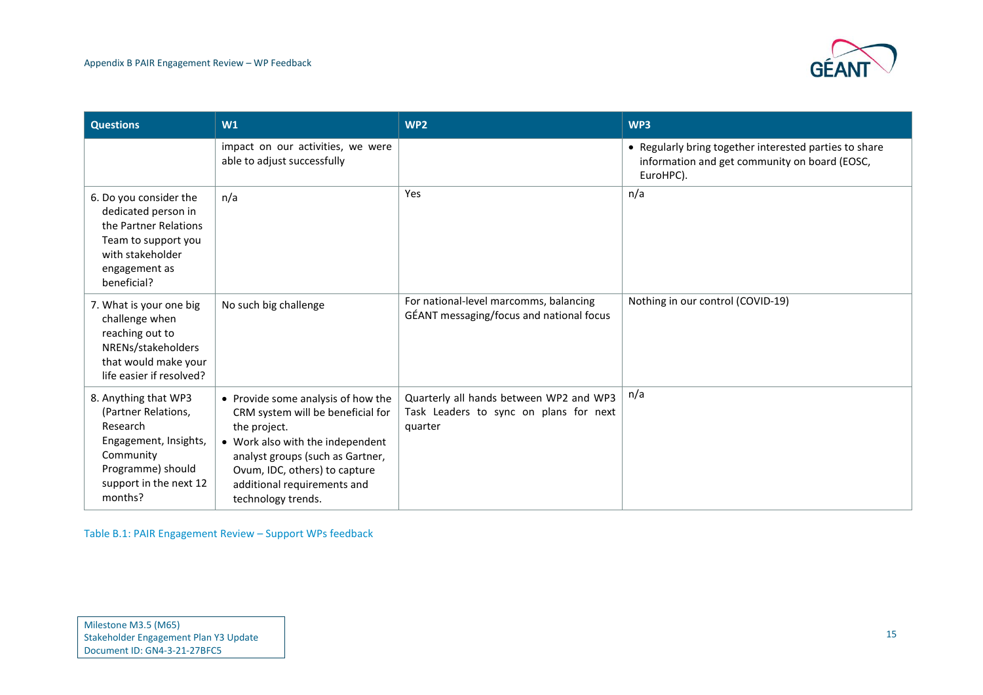

| <b>Questions</b>                                                                                                                                        | W1                                                                                                                                                                                                                                                    | WP <sub>2</sub>                                                                              | WP3                                                                                                                  |
|---------------------------------------------------------------------------------------------------------------------------------------------------------|-------------------------------------------------------------------------------------------------------------------------------------------------------------------------------------------------------------------------------------------------------|----------------------------------------------------------------------------------------------|----------------------------------------------------------------------------------------------------------------------|
|                                                                                                                                                         | impact on our activities, we were<br>able to adjust successfully                                                                                                                                                                                      |                                                                                              | • Regularly bring together interested parties to share<br>information and get community on board (EOSC,<br>EuroHPC). |
| 6. Do you consider the<br>dedicated person in<br>the Partner Relations<br>Team to support you<br>with stakeholder<br>engagement as<br>beneficial?       | n/a                                                                                                                                                                                                                                                   | Yes                                                                                          | n/a                                                                                                                  |
| 7. What is your one big<br>challenge when<br>reaching out to<br>NRENs/stakeholders<br>that would make your<br>life easier if resolved?                  | No such big challenge                                                                                                                                                                                                                                 | For national-level marcomms, balancing<br>GÉANT messaging/focus and national focus           | Nothing in our control (COVID-19)                                                                                    |
| 8. Anything that WP3<br>(Partner Relations,<br>Research<br>Engagement, Insights,<br>Community<br>Programme) should<br>support in the next 12<br>months? | • Provide some analysis of how the<br>CRM system will be beneficial for<br>the project.<br>• Work also with the independent<br>analyst groups (such as Gartner,<br>Ovum, IDC, others) to capture<br>additional requirements and<br>technology trends. | Quarterly all hands between WP2 and WP3<br>Task Leaders to sync on plans for next<br>quarter | n/a                                                                                                                  |

Table B.1: PAIR Engagement Review – Support WPs feedback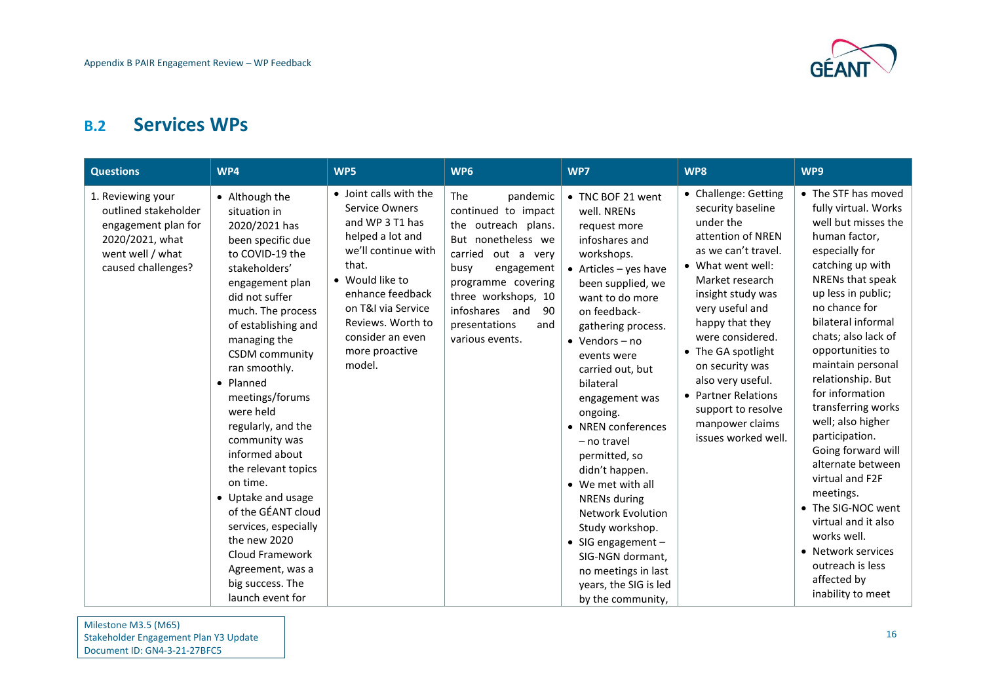

### **B.2 Services WPs**

<span id="page-17-0"></span>

| <b>Questions</b>                                                                                                              | WP4                                                                                                                                                                                                                                                                                                                                                                                                                                                                                                                                                             | WP5                                                                                                                                                                                                                                                      | WP6                                                                                                                                                                                                                                             | WP7                                                                                                                                                                                                                                                                                                                                                                                                                                                                                                                                                                                         | WP8                                                                                                                                                                                                                                                                                                                                                                            | WP9                                                                                                                                                                                                                                                                                                                                                                                                                                                                                                                                                                                                  |
|-------------------------------------------------------------------------------------------------------------------------------|-----------------------------------------------------------------------------------------------------------------------------------------------------------------------------------------------------------------------------------------------------------------------------------------------------------------------------------------------------------------------------------------------------------------------------------------------------------------------------------------------------------------------------------------------------------------|----------------------------------------------------------------------------------------------------------------------------------------------------------------------------------------------------------------------------------------------------------|-------------------------------------------------------------------------------------------------------------------------------------------------------------------------------------------------------------------------------------------------|---------------------------------------------------------------------------------------------------------------------------------------------------------------------------------------------------------------------------------------------------------------------------------------------------------------------------------------------------------------------------------------------------------------------------------------------------------------------------------------------------------------------------------------------------------------------------------------------|--------------------------------------------------------------------------------------------------------------------------------------------------------------------------------------------------------------------------------------------------------------------------------------------------------------------------------------------------------------------------------|------------------------------------------------------------------------------------------------------------------------------------------------------------------------------------------------------------------------------------------------------------------------------------------------------------------------------------------------------------------------------------------------------------------------------------------------------------------------------------------------------------------------------------------------------------------------------------------------------|
| 1. Reviewing your<br>outlined stakeholder<br>engagement plan for<br>2020/2021, what<br>went well / what<br>caused challenges? | • Although the<br>situation in<br>2020/2021 has<br>been specific due<br>to COVID-19 the<br>stakeholders'<br>engagement plan<br>did not suffer<br>much. The process<br>of establishing and<br>managing the<br><b>CSDM</b> community<br>ran smoothly.<br>• Planned<br>meetings/forums<br>were held<br>regularly, and the<br>community was<br>informed about<br>the relevant topics<br>on time.<br>• Uptake and usage<br>of the GÉANT cloud<br>services, especially<br>the new 2020<br>Cloud Framework<br>Agreement, was a<br>big success. The<br>launch event for | • Joint calls with the<br><b>Service Owners</b><br>and WP 3 T1 has<br>helped a lot and<br>we'll continue with<br>that.<br>• Would like to<br>enhance feedback<br>on T&I via Service<br>Reviews. Worth to<br>consider an even<br>more proactive<br>model. | The<br>pandemic<br>continued to impact<br>the outreach plans.<br>But nonetheless we<br>carried out a very<br>busy<br>engagement<br>programme covering<br>three workshops, 10<br>infoshares and<br>90<br>presentations<br>and<br>various events. | • TNC BOF 21 went<br>well. NRENs<br>request more<br>infoshares and<br>workshops.<br>$\bullet$ Articles - yes have<br>been supplied, we<br>want to do more<br>on feedback-<br>gathering process.<br>$\bullet$ Vendors - no<br>events were<br>carried out, but<br>bilateral<br>engagement was<br>ongoing.<br>• NREN conferences<br>- no travel<br>permitted, so<br>didn't happen.<br>• We met with all<br><b>NRENs during</b><br><b>Network Evolution</b><br>Study workshop.<br>• SIG engagement $-$<br>SIG-NGN dormant,<br>no meetings in last<br>years, the SIG is led<br>by the community, | • Challenge: Getting<br>security baseline<br>under the<br>attention of NREN<br>as we can't travel.<br>• What went well:<br>Market research<br>insight study was<br>very useful and<br>happy that they<br>were considered.<br>• The GA spotlight<br>on security was<br>also very useful.<br>• Partner Relations<br>support to resolve<br>manpower claims<br>issues worked well. | • The STF has moved<br>fully virtual. Works<br>well but misses the<br>human factor,<br>especially for<br>catching up with<br>NRENs that speak<br>up less in public;<br>no chance for<br>bilateral informal<br>chats; also lack of<br>opportunities to<br>maintain personal<br>relationship. But<br>for information<br>transferring works<br>well; also higher<br>participation.<br>Going forward will<br>alternate between<br>virtual and F2F<br>meetings.<br>• The SIG-NOC went<br>virtual and it also<br>works well.<br>• Network services<br>outreach is less<br>affected by<br>inability to meet |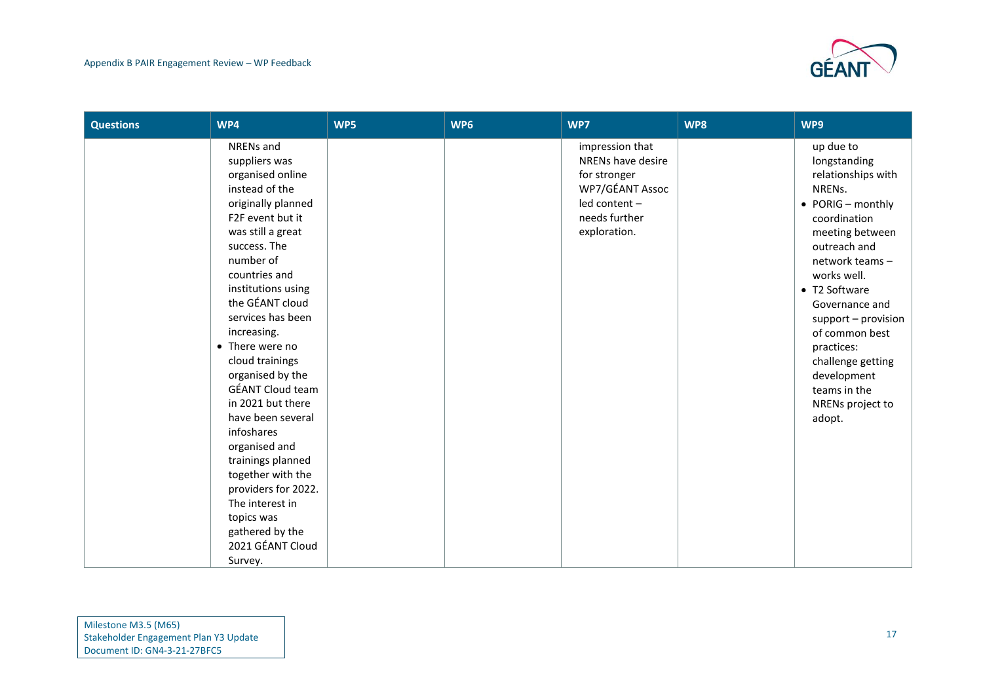

| <b>Questions</b> | WP4                                                                                                                                                                                                                                                                                                                                                                                                                                                                                                                                                                          | WP5 | WP6 | WP7                                                                                                                       | WP8 | WP9                                                                                                                                                                                                                                                                                                                                                     |
|------------------|------------------------------------------------------------------------------------------------------------------------------------------------------------------------------------------------------------------------------------------------------------------------------------------------------------------------------------------------------------------------------------------------------------------------------------------------------------------------------------------------------------------------------------------------------------------------------|-----|-----|---------------------------------------------------------------------------------------------------------------------------|-----|---------------------------------------------------------------------------------------------------------------------------------------------------------------------------------------------------------------------------------------------------------------------------------------------------------------------------------------------------------|
|                  | NRENs and<br>suppliers was<br>organised online<br>instead of the<br>originally planned<br>F2F event but it<br>was still a great<br>success. The<br>number of<br>countries and<br>institutions using<br>the GÉANT cloud<br>services has been<br>increasing.<br>• There were no<br>cloud trainings<br>organised by the<br><b>GÉANT Cloud team</b><br>in 2021 but there<br>have been several<br>infoshares<br>organised and<br>trainings planned<br>together with the<br>providers for 2022.<br>The interest in<br>topics was<br>gathered by the<br>2021 GÉANT Cloud<br>Survey. |     |     | impression that<br>NRENs have desire<br>for stronger<br>WP7/GÉANT Assoc<br>led content -<br>needs further<br>exploration. |     | up due to<br>longstanding<br>relationships with<br>NRENs.<br>$\bullet$ PORIG - monthly<br>coordination<br>meeting between<br>outreach and<br>network teams -<br>works well.<br>• T2 Software<br>Governance and<br>support - provision<br>of common best<br>practices:<br>challenge getting<br>development<br>teams in the<br>NRENs project to<br>adopt. |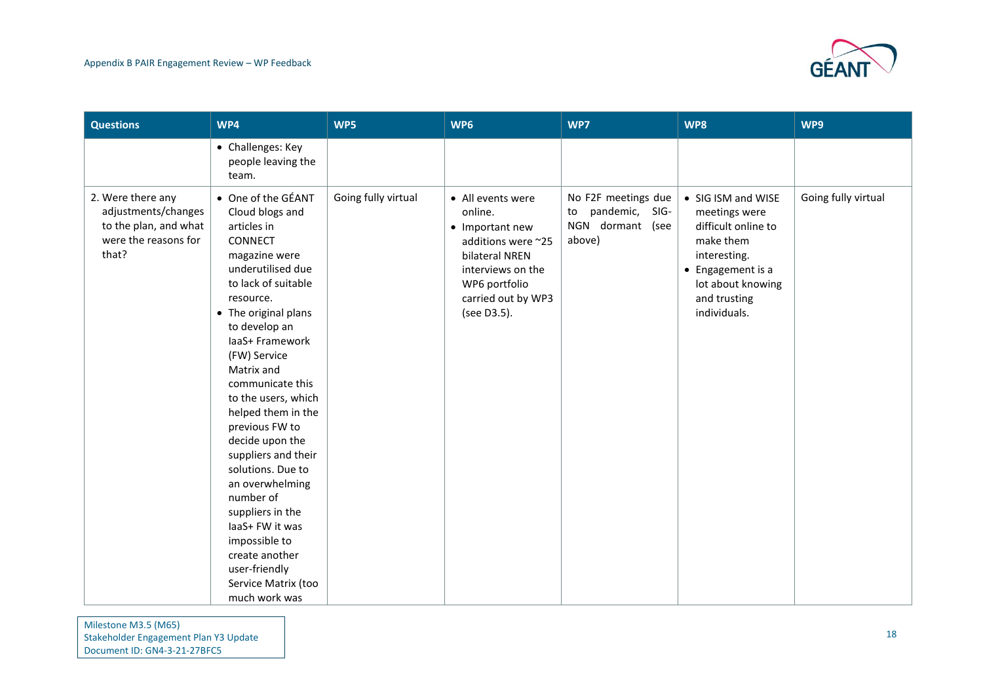

| <b>Questions</b>                                                                                   | WP4                                                                                                                                                                                                                                                                                                                                                                                                                                                                                                                                                      | WP5                 | WP6                                                                                                                                                                | WP7                                                                       | WP8                                                                                                                                                               | WP9                 |
|----------------------------------------------------------------------------------------------------|----------------------------------------------------------------------------------------------------------------------------------------------------------------------------------------------------------------------------------------------------------------------------------------------------------------------------------------------------------------------------------------------------------------------------------------------------------------------------------------------------------------------------------------------------------|---------------------|--------------------------------------------------------------------------------------------------------------------------------------------------------------------|---------------------------------------------------------------------------|-------------------------------------------------------------------------------------------------------------------------------------------------------------------|---------------------|
|                                                                                                    | • Challenges: Key<br>people leaving the<br>team.                                                                                                                                                                                                                                                                                                                                                                                                                                                                                                         |                     |                                                                                                                                                                    |                                                                           |                                                                                                                                                                   |                     |
| 2. Were there any<br>adjustments/changes<br>to the plan, and what<br>were the reasons for<br>that? | • One of the GÉANT<br>Cloud blogs and<br>articles in<br>CONNECT<br>magazine were<br>underutilised due<br>to lack of suitable<br>resource.<br>• The original plans<br>to develop an<br>laaS+ Framework<br>(FW) Service<br>Matrix and<br>communicate this<br>to the users, which<br>helped them in the<br>previous FW to<br>decide upon the<br>suppliers and their<br>solutions. Due to<br>an overwhelming<br>number of<br>suppliers in the<br>laaS+ FW it was<br>impossible to<br>create another<br>user-friendly<br>Service Matrix (too<br>much work was | Going fully virtual | • All events were<br>online.<br>• Important new<br>additions were ~25<br>bilateral NREN<br>interviews on the<br>WP6 portfolio<br>carried out by WP3<br>(see D3.5). | No F2F meetings due<br>pandemic, SIG-<br>to<br>NGN dormant (see<br>above) | • SIG ISM and WISE<br>meetings were<br>difficult online to<br>make them<br>interesting.<br>• Engagement is a<br>lot about knowing<br>and trusting<br>individuals. | Going fully virtual |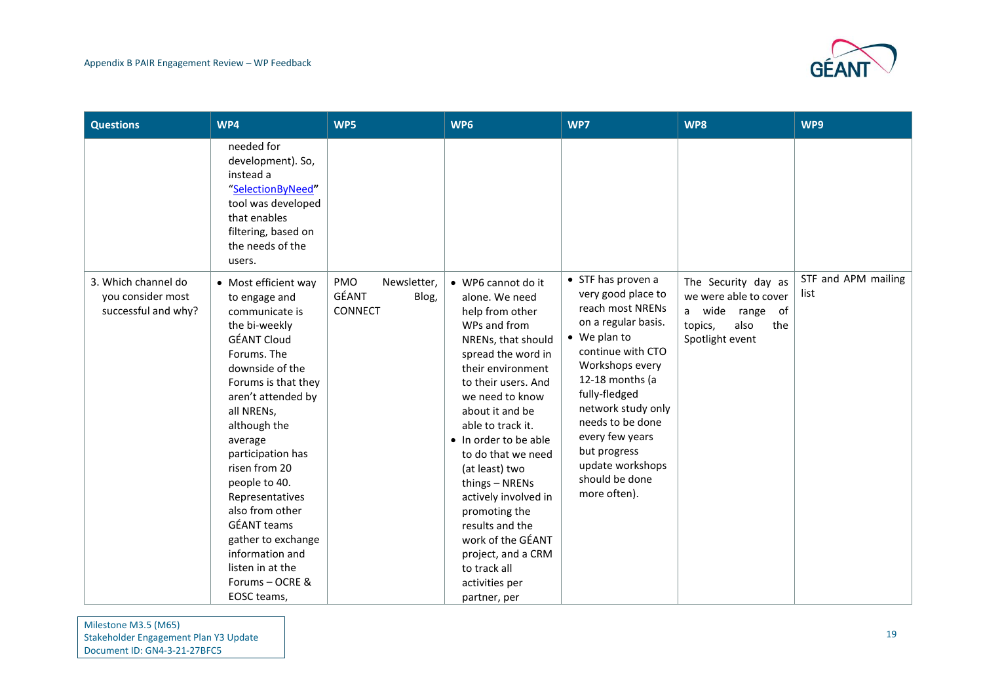

| <b>Questions</b>                                                | WP4                                                                                                                                                                                                                                                                                                                                                                                                                                      | WP5                                             | WP6                                                                                                                                                                                                                                                                                                                                                                                                                                                                    | WP7                                                                                                                                                                                                                                                                                                                | WP8                                                                                                                | WP9                         |
|-----------------------------------------------------------------|------------------------------------------------------------------------------------------------------------------------------------------------------------------------------------------------------------------------------------------------------------------------------------------------------------------------------------------------------------------------------------------------------------------------------------------|-------------------------------------------------|------------------------------------------------------------------------------------------------------------------------------------------------------------------------------------------------------------------------------------------------------------------------------------------------------------------------------------------------------------------------------------------------------------------------------------------------------------------------|--------------------------------------------------------------------------------------------------------------------------------------------------------------------------------------------------------------------------------------------------------------------------------------------------------------------|--------------------------------------------------------------------------------------------------------------------|-----------------------------|
|                                                                 | needed for<br>development). So,<br>instead a<br>"SelectionByNeed"<br>tool was developed<br>that enables<br>filtering, based on<br>the needs of the<br>users.                                                                                                                                                                                                                                                                             |                                                 |                                                                                                                                                                                                                                                                                                                                                                                                                                                                        |                                                                                                                                                                                                                                                                                                                    |                                                                                                                    |                             |
| 3. Which channel do<br>you consider most<br>successful and why? | • Most efficient way<br>to engage and<br>communicate is<br>the bi-weekly<br><b>GÉANT Cloud</b><br>Forums. The<br>downside of the<br>Forums is that they<br>aren't attended by<br>all NRENs,<br>although the<br>average<br>participation has<br>risen from 20<br>people to 40.<br>Representatives<br>also from other<br><b>GÉANT</b> teams<br>gather to exchange<br>information and<br>listen in at the<br>Forums - OCRE &<br>EOSC teams, | PMO<br>Newsletter,<br>GÉANT<br>Blog,<br>CONNECT | • WP6 cannot do it<br>alone. We need<br>help from other<br>WPs and from<br>NRENs, that should<br>spread the word in<br>their environment<br>to their users. And<br>we need to know<br>about it and be<br>able to track it.<br>• In order to be able<br>to do that we need<br>(at least) two<br>things - NRENs<br>actively involved in<br>promoting the<br>results and the<br>work of the GÉANT<br>project, and a CRM<br>to track all<br>activities per<br>partner, per | • STF has proven a<br>very good place to<br>reach most NRENs<br>on a regular basis.<br>• We plan to<br>continue with CTO<br>Workshops every<br>12-18 months (a<br>fully-fledged<br>network study only<br>needs to be done<br>every few years<br>but progress<br>update workshops<br>should be done<br>more often). | The Security day as<br>we were able to cover<br>wide range<br>of<br>a<br>also<br>the<br>topics,<br>Spotlight event | STF and APM mailing<br>list |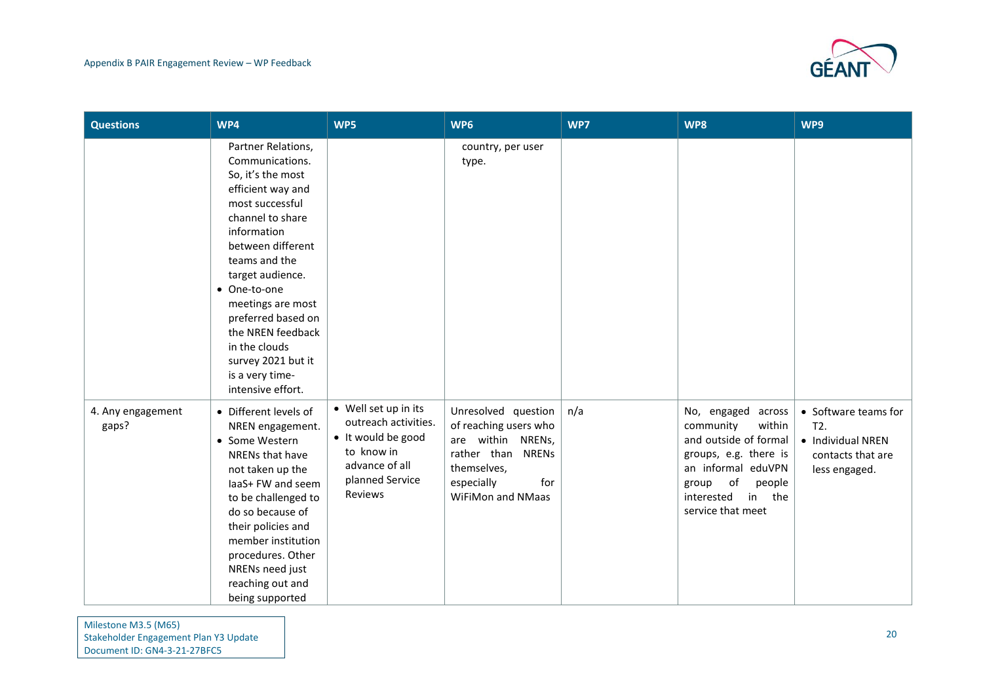

| <b>Questions</b>           | WP4                                                                                                                                                                                                                                                                                                                                                            | WP5                                                                                                                              | WP6                                                                                                                                             | WP7 | WP8                                                                                                                                                                                           | WP9                                                                                    |
|----------------------------|----------------------------------------------------------------------------------------------------------------------------------------------------------------------------------------------------------------------------------------------------------------------------------------------------------------------------------------------------------------|----------------------------------------------------------------------------------------------------------------------------------|-------------------------------------------------------------------------------------------------------------------------------------------------|-----|-----------------------------------------------------------------------------------------------------------------------------------------------------------------------------------------------|----------------------------------------------------------------------------------------|
|                            | Partner Relations,<br>Communications.<br>So, it's the most<br>efficient way and<br>most successful<br>channel to share<br>information<br>between different<br>teams and the<br>target audience.<br>• One-to-one<br>meetings are most<br>preferred based on<br>the NREN feedback<br>in the clouds<br>survey 2021 but it<br>is a very time-<br>intensive effort. |                                                                                                                                  | country, per user<br>type.                                                                                                                      |     |                                                                                                                                                                                               |                                                                                        |
| 4. Any engagement<br>gaps? | • Different levels of<br>NREN engagement.<br>• Some Western<br>NRENs that have<br>not taken up the<br>laaS+ FW and seem<br>to be challenged to<br>do so because of<br>their policies and<br>member institution<br>procedures. Other<br>NRENs need just<br>reaching out and<br>being supported                                                                  | • Well set up in its<br>outreach activities.<br>• It would be good<br>to know in<br>advance of all<br>planned Service<br>Reviews | Unresolved question<br>of reaching users who<br>are within NRENs,<br>rather than NRENs<br>themselves,<br>especially<br>for<br>WiFiMon and NMaas | n/a | No, engaged<br>across<br>within<br>community<br>and outside of formal<br>groups, e.g. there is<br>an informal eduVPN<br>of<br>people<br>group<br>interested<br>the<br>in<br>service that meet | • Software teams for<br>T2.<br>• Individual NREN<br>contacts that are<br>less engaged. |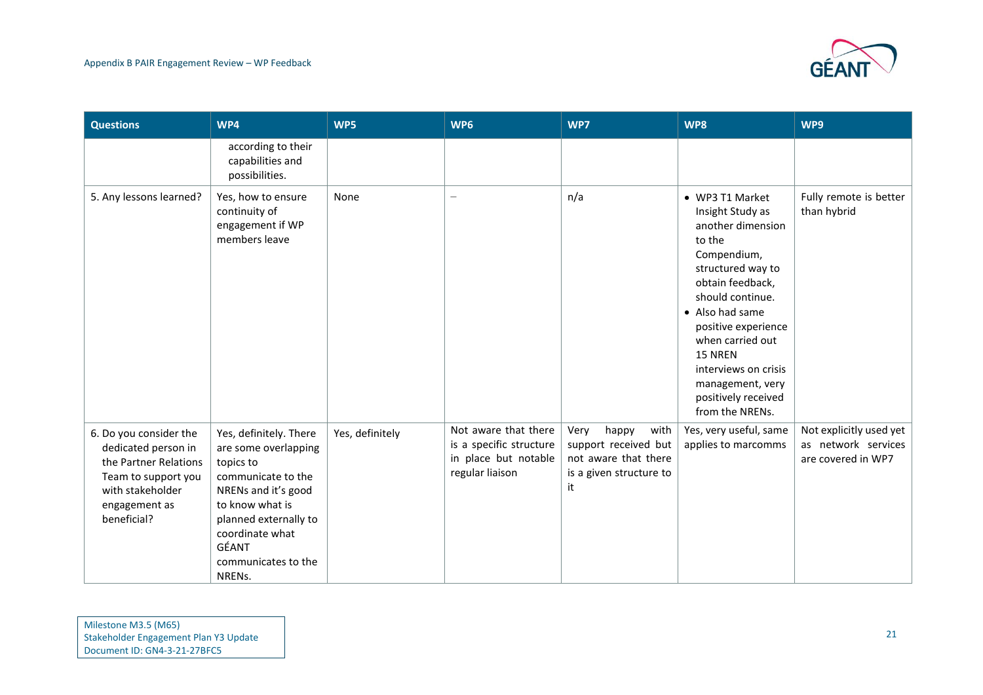

| <b>Questions</b>                                                                                                                                  | WP4                                                                                                                                                                                                               | WP5             | WP6                                                                                        | WP7                                                                                                    | WP8                                                                                                                                                                                                                                                                                                           | WP9                                                                  |
|---------------------------------------------------------------------------------------------------------------------------------------------------|-------------------------------------------------------------------------------------------------------------------------------------------------------------------------------------------------------------------|-----------------|--------------------------------------------------------------------------------------------|--------------------------------------------------------------------------------------------------------|---------------------------------------------------------------------------------------------------------------------------------------------------------------------------------------------------------------------------------------------------------------------------------------------------------------|----------------------------------------------------------------------|
|                                                                                                                                                   | according to their<br>capabilities and<br>possibilities.                                                                                                                                                          |                 |                                                                                            |                                                                                                        |                                                                                                                                                                                                                                                                                                               |                                                                      |
| 5. Any lessons learned?                                                                                                                           | Yes, how to ensure<br>continuity of<br>engagement if WP<br>members leave                                                                                                                                          | None            |                                                                                            | n/a                                                                                                    | • WP3 T1 Market<br>Insight Study as<br>another dimension<br>to the<br>Compendium,<br>structured way to<br>obtain feedback,<br>should continue.<br>• Also had same<br>positive experience<br>when carried out<br>15 NREN<br>interviews on crisis<br>management, very<br>positively received<br>from the NRENs. | Fully remote is better<br>than hybrid                                |
| 6. Do you consider the<br>dedicated person in<br>the Partner Relations<br>Team to support you<br>with stakeholder<br>engagement as<br>beneficial? | Yes, definitely. There<br>are some overlapping<br>topics to<br>communicate to the<br>NRENs and it's good<br>to know what is<br>planned externally to<br>coordinate what<br>GÉANT<br>communicates to the<br>NRENs. | Yes, definitely | Not aware that there<br>is a specific structure<br>in place but notable<br>regular liaison | happy<br>Very<br>with<br>support received but<br>not aware that there<br>is a given structure to<br>it | Yes, very useful, same<br>applies to marcomms                                                                                                                                                                                                                                                                 | Not explicitly used yet<br>as network services<br>are covered in WP7 |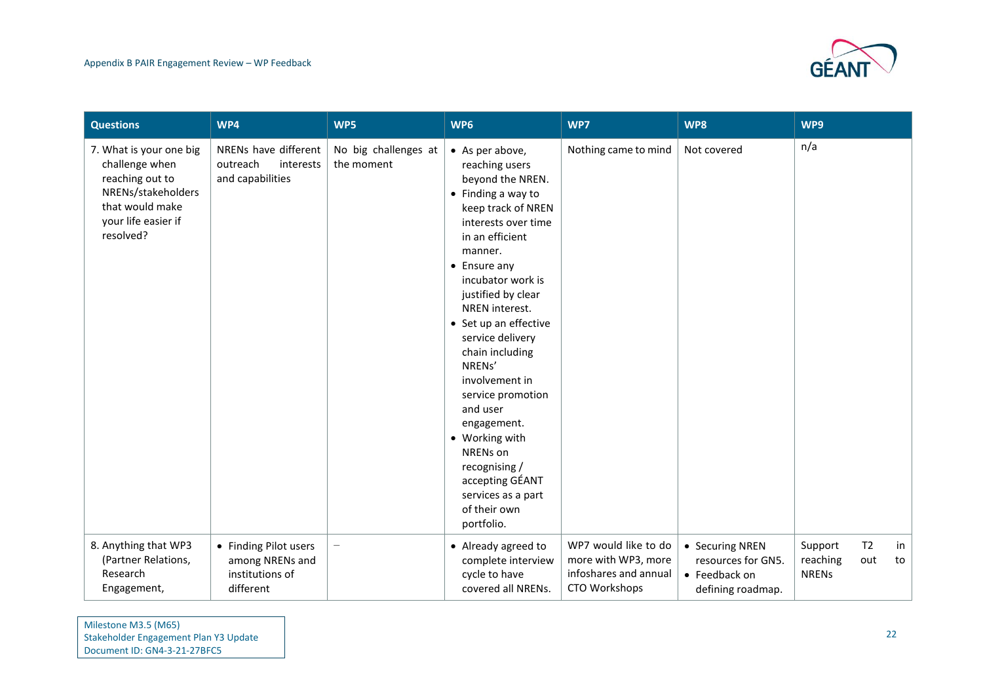

| <b>Questions</b>                                                                                                                          | WP4                                                                      | WP5                                | WP6                                                                                                                                                                                                                                                                                                                                                                                                                                                                                                                   | WP7                                                                                   | WP8                                                                         | WP9                                 |                       |          |
|-------------------------------------------------------------------------------------------------------------------------------------------|--------------------------------------------------------------------------|------------------------------------|-----------------------------------------------------------------------------------------------------------------------------------------------------------------------------------------------------------------------------------------------------------------------------------------------------------------------------------------------------------------------------------------------------------------------------------------------------------------------------------------------------------------------|---------------------------------------------------------------------------------------|-----------------------------------------------------------------------------|-------------------------------------|-----------------------|----------|
| 7. What is your one big<br>challenge when<br>reaching out to<br>NRENs/stakeholders<br>that would make<br>your life easier if<br>resolved? | NRENs have different<br>outreach<br>interests<br>and capabilities        | No big challenges at<br>the moment | • As per above,<br>reaching users<br>beyond the NREN.<br>$\bullet$ Finding a way to<br>keep track of NREN<br>interests over time<br>in an efficient<br>manner.<br>$\bullet$ Ensure any<br>incubator work is<br>justified by clear<br>NREN interest.<br>• Set up an effective<br>service delivery<br>chain including<br>NRENs'<br>involvement in<br>service promotion<br>and user<br>engagement.<br>• Working with<br>NRENs on<br>recognising /<br>accepting GÉANT<br>services as a part<br>of their own<br>portfolio. | Nothing came to mind                                                                  | Not covered                                                                 | n/a                                 |                       |          |
| 8. Anything that WP3<br>(Partner Relations,<br>Research<br>Engagement,                                                                    | • Finding Pilot users<br>among NRENs and<br>institutions of<br>different | $\overline{\phantom{0}}$           | • Already agreed to<br>complete interview<br>cycle to have<br>covered all NRENs.                                                                                                                                                                                                                                                                                                                                                                                                                                      | WP7 would like to do<br>more with WP3, more<br>infoshares and annual<br>CTO Workshops | • Securing NREN<br>resources for GN5.<br>• Feedback on<br>defining roadmap. | Support<br>reaching<br><b>NRENs</b> | T <sub>2</sub><br>out | in<br>to |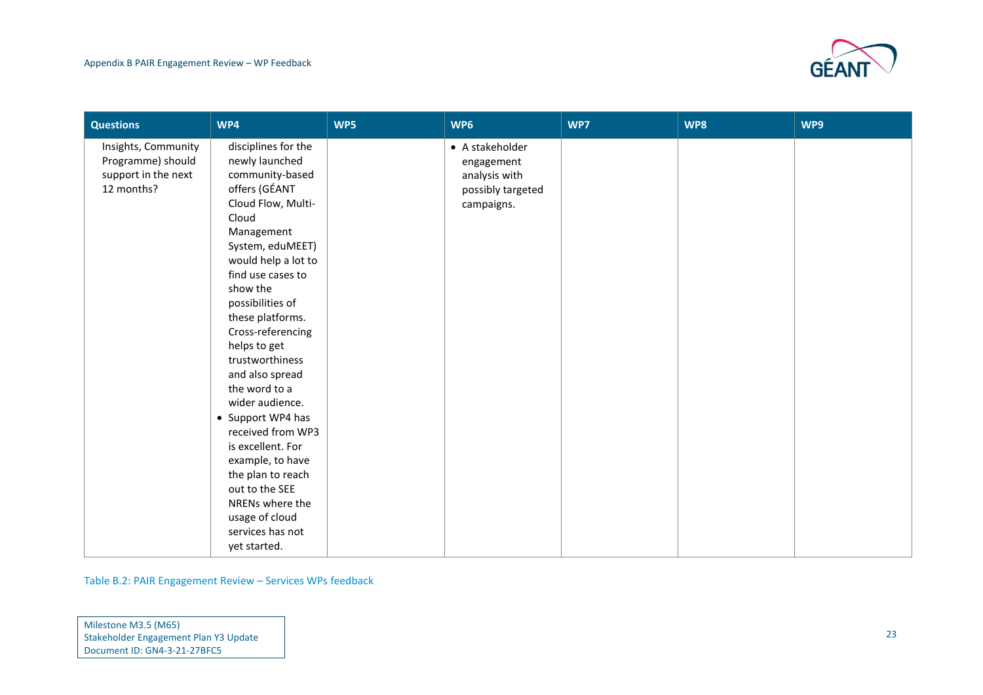

| <b>Questions</b>                                                              | WP4                                                                                                                                                                                                                                                                                                                                                                                                                                                                                                                                                          | WP5 | WP6                                                                               | WP7 | WP8 | WP9 |
|-------------------------------------------------------------------------------|--------------------------------------------------------------------------------------------------------------------------------------------------------------------------------------------------------------------------------------------------------------------------------------------------------------------------------------------------------------------------------------------------------------------------------------------------------------------------------------------------------------------------------------------------------------|-----|-----------------------------------------------------------------------------------|-----|-----|-----|
| Insights, Community<br>Programme) should<br>support in the next<br>12 months? | disciplines for the<br>newly launched<br>community-based<br>offers (GÉANT<br>Cloud Flow, Multi-<br>Cloud<br>Management<br>System, eduMEET)<br>would help a lot to<br>find use cases to<br>show the<br>possibilities of<br>these platforms.<br>Cross-referencing<br>helps to get<br>trustworthiness<br>and also spread<br>the word to a<br>wider audience.<br>• Support WP4 has<br>received from WP3<br>is excellent. For<br>example, to have<br>the plan to reach<br>out to the SEE<br>NRENs where the<br>usage of cloud<br>services has not<br>yet started. |     | • A stakeholder<br>engagement<br>analysis with<br>possibly targeted<br>campaigns. |     |     |     |
|                                                                               |                                                                                                                                                                                                                                                                                                                                                                                                                                                                                                                                                              |     |                                                                                   |     |     |     |

Table B.2: PAIR Engagement Review – Services WPs feedback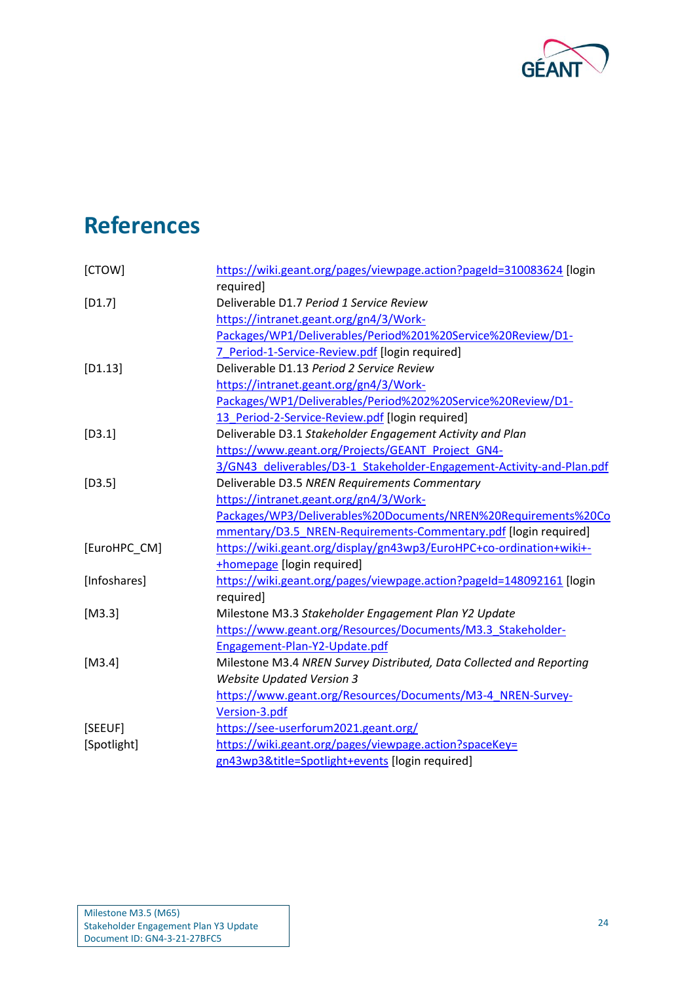

## <span id="page-25-0"></span>**References**

<span id="page-25-9"></span><span id="page-25-8"></span><span id="page-25-7"></span><span id="page-25-6"></span><span id="page-25-5"></span><span id="page-25-4"></span><span id="page-25-3"></span><span id="page-25-2"></span><span id="page-25-1"></span>

| [CTOW]       | https://wiki.geant.org/pages/viewpage.action?pageId=310083624 [login  |
|--------------|-----------------------------------------------------------------------|
|              | required]                                                             |
| $[D1.7]$     | Deliverable D1.7 Period 1 Service Review                              |
|              | https://intranet.geant.org/gn4/3/Work-                                |
|              | Packages/WP1/Deliverables/Period%201%20Service%20Review/D1-           |
|              | 7 Period-1-Service-Review.pdf [login required]                        |
| $[D1.13]$    | Deliverable D1.13 Period 2 Service Review                             |
|              | https://intranet.geant.org/gn4/3/Work-                                |
|              | Packages/WP1/Deliverables/Period%202%20Service%20Review/D1-           |
|              | 13_Period-2-Service-Review.pdf [login required]                       |
| $[D3.1]$     | Deliverable D3.1 Stakeholder Engagement Activity and Plan             |
|              | https://www.geant.org/Projects/GEANT Project GN4-                     |
|              | 3/GN43_deliverables/D3-1_Stakeholder-Engagement-Activity-and-Plan.pdf |
| $[D3.5]$     | Deliverable D3.5 NREN Requirements Commentary                         |
|              | https://intranet.geant.org/gn4/3/Work-                                |
|              | Packages/WP3/Deliverables%20Documents/NREN%20Requirements%20Co        |
|              | mmentary/D3.5 NREN-Requirements-Commentary.pdf [login required]       |
| [EuroHPC_CM] | https://wiki.geant.org/display/gn43wp3/EuroHPC+co-ordination+wiki+-   |
|              | <b>+homepage</b> [login required]                                     |
| [Infoshares] | https://wiki.geant.org/pages/viewpage.action?pageId=148092161 [login  |
|              | required]                                                             |
| $[M3.3]$     | Milestone M3.3 Stakeholder Engagement Plan Y2 Update                  |
|              | https://www.geant.org/Resources/Documents/M3.3 Stakeholder-           |
|              | Engagement-Plan-Y2-Update.pdf                                         |
| $[M3.4]$     | Milestone M3.4 NREN Survey Distributed, Data Collected and Reporting  |
|              | <b>Website Updated Version 3</b>                                      |
|              | https://www.geant.org/Resources/Documents/M3-4 NREN-Survey-           |
|              | Version-3.pdf                                                         |
| [SEEUF]      | https://see-userforum2021.geant.org/                                  |
| [Spotlight]  | https://wiki.geant.org/pages/viewpage.action?spaceKey=                |
|              | gn43wp3&title=Spotlight+events [login required]                       |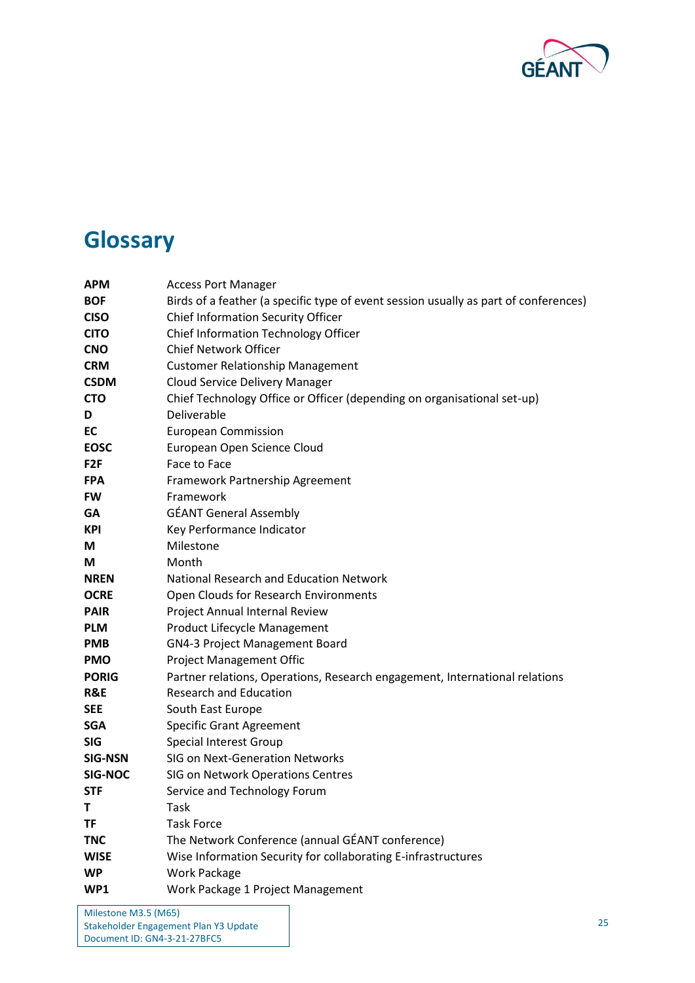

## <span id="page-26-0"></span>**Glossary**

| <b>APM</b>      | <b>Access Port Manager</b>                                                           |  |  |
|-----------------|--------------------------------------------------------------------------------------|--|--|
| <b>BOF</b>      | Birds of a feather (a specific type of event session usually as part of conferences) |  |  |
| <b>CISO</b>     | Chief Information Security Officer                                                   |  |  |
| <b>CITO</b>     | Chief Information Technology Officer                                                 |  |  |
| <b>CNO</b>      | <b>Chief Network Officer</b>                                                         |  |  |
| <b>CRM</b>      | <b>Customer Relationship Management</b>                                              |  |  |
| <b>CSDM</b>     | <b>Cloud Service Delivery Manager</b>                                                |  |  |
| <b>CTO</b>      | Chief Technology Office or Officer (depending on organisational set-up)              |  |  |
| D               | Deliverable                                                                          |  |  |
| EC              | <b>European Commission</b>                                                           |  |  |
| <b>EOSC</b>     | European Open Science Cloud                                                          |  |  |
| F <sub>2F</sub> | Face to Face                                                                         |  |  |
| <b>FPA</b>      | Framework Partnership Agreement                                                      |  |  |
| <b>FW</b>       | Framework                                                                            |  |  |
| GA              | <b>GÉANT General Assembly</b>                                                        |  |  |
| <b>KPI</b>      | Key Performance Indicator                                                            |  |  |
| M               | Milestone                                                                            |  |  |
| М               | Month                                                                                |  |  |
| <b>NREN</b>     | National Research and Education Network                                              |  |  |
| <b>OCRE</b>     | Open Clouds for Research Environments                                                |  |  |
| <b>PAIR</b>     | Project Annual Internal Review                                                       |  |  |
| <b>PLM</b>      | Product Lifecycle Management                                                         |  |  |
| <b>PMB</b>      | <b>GN4-3 Project Management Board</b>                                                |  |  |
| <b>PMO</b>      | <b>Project Management Offic</b>                                                      |  |  |
| <b>PORIG</b>    | Partner relations, Operations, Research engagement, International relations          |  |  |
| R&E             | <b>Research and Education</b>                                                        |  |  |
| <b>SEE</b>      | South East Europe                                                                    |  |  |
| <b>SGA</b>      | <b>Specific Grant Agreement</b>                                                      |  |  |
| <b>SIG</b>      | Special Interest Group                                                               |  |  |
| <b>SIG-NSN</b>  | SIG on Next-Generation Networks                                                      |  |  |
| SIG-NOC         | SIG on Network Operations Centres                                                    |  |  |
| <b>STF</b>      | Service and Technology Forum                                                         |  |  |
| т               | Task                                                                                 |  |  |
| TF              | <b>Task Force</b>                                                                    |  |  |
| <b>TNC</b>      | The Network Conference (annual GÉANT conference)                                     |  |  |
| <b>WISE</b>     | Wise Information Security for collaborating E-infrastructures                        |  |  |
| <b>WP</b>       | <b>Work Package</b>                                                                  |  |  |
| WP1             | Work Package 1 Project Management                                                    |  |  |